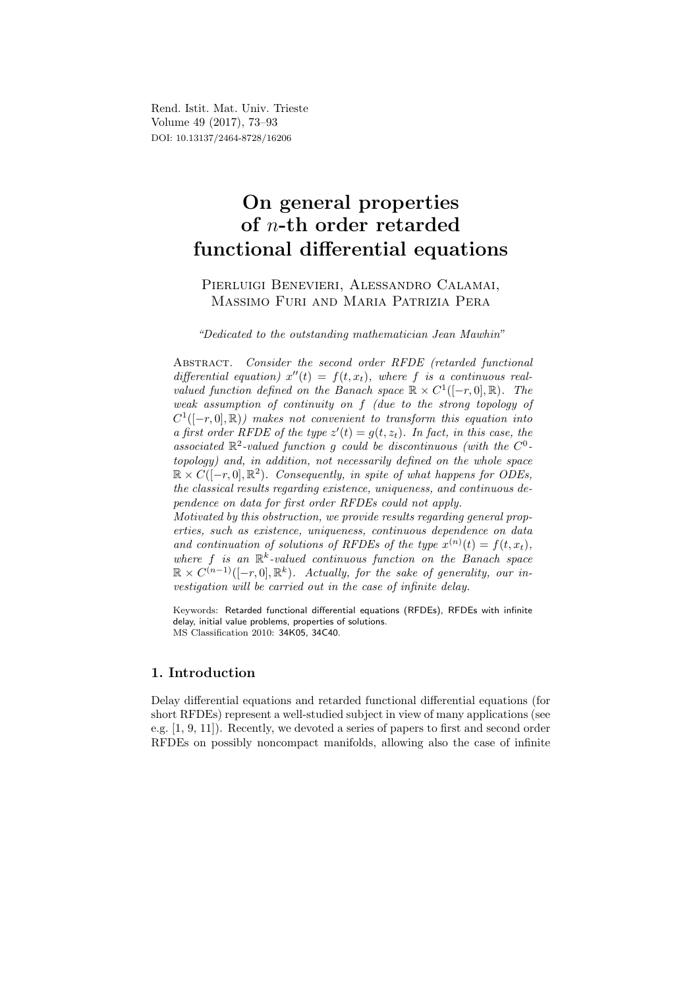Rend. Istit. Mat. Univ. Trieste Volume 49 (2017), 73–93 DOI: 10.13137/2464-8728/16206

# On general properties of n-th order retarded functional differential equations

# Pierluigi Benevieri, Alessandro Calamai, Massimo Furi and Maria Patrizia Pera

"Dedicated to the outstanding mathematician Jean Mawhin"

ABSTRACT. Consider the second order RFDE (retarded functional differential equation)  $x''(t) = f(t, x_t)$ , where f is a continuous realvalued function defined on the Banach space  $\mathbb{R} \times C^1([-r, 0], \mathbb{R})$ . The weak assumption of continuity on f (due to the strong topology of  $C^1([-r, 0], \mathbb{R})$  makes not convenient to transform this equation into a first order RFDE of the type  $z'(t) = g(t, z_t)$ . In fact, in this case, the associated  $\mathbb{R}^2$ -valued function g could be discontinuous (with the  $C^0$ topology) and, in addition, not necessarily defined on the whole space  $\mathbb{R} \times C([-r, 0], \mathbb{R}^2)$ . Consequently, in spite of what happens for ODEs, the classical results regarding existence, uniqueness, and continuous dependence on data for first order RFDEs could not apply.

Motivated by this obstruction, we provide results regarding general properties, such as existence, uniqueness, continuous dependence on data and continuation of solutions of RFDEs of the type  $x^{(n)}(t) = f(t, x_t)$ , where  $f$  is an  $\mathbb{R}^k$ -valued continuous function on the Banach space  $\mathbb{R} \times C^{(n-1)}([-r, 0], \mathbb{R}^k)$ . Actually, for the sake of generality, our investigation will be carried out in the case of infinite delay.

Keywords: Retarded functional differential equations (RFDEs), RFDEs with infinite delay, initial value problems, properties of solutions. MS Classification 2010: 34K05, 34C40.

# 1. Introduction

Delay differential equations and retarded functional differential equations (for short RFDEs) represent a well-studied subject in view of many applications (see e.g. [1, 9, 11]). Recently, we devoted a series of papers to first and second order RFDEs on possibly noncompact manifolds, allowing also the case of infinite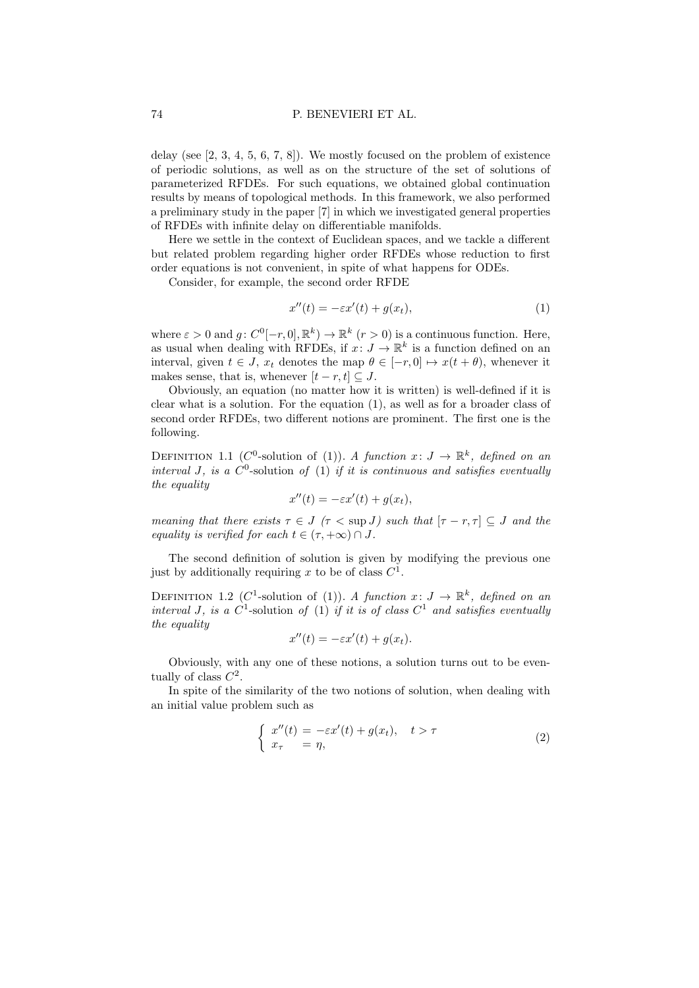delay (see  $[2, 3, 4, 5, 6, 7, 8]$ ). We mostly focused on the problem of existence of periodic solutions, as well as on the structure of the set of solutions of parameterized RFDEs. For such equations, we obtained global continuation results by means of topological methods. In this framework, we also performed a preliminary study in the paper [7] in which we investigated general properties of RFDEs with infinite delay on differentiable manifolds.

Here we settle in the context of Euclidean spaces, and we tackle a different but related problem regarding higher order RFDEs whose reduction to first order equations is not convenient, in spite of what happens for ODEs.

Consider, for example, the second order RFDE

$$
x''(t) = -\varepsilon x'(t) + g(x_t),\tag{1}
$$

where  $\varepsilon > 0$  and  $g: C^0[-r, 0], \mathbb{R}^k \to \mathbb{R}^k$   $(r > 0)$  is a continuous function. Here, as usual when dealing with RFDEs, if  $x: J \to \mathbb{R}^k$  is a function defined on an interval, given  $t \in J$ ,  $x_t$  denotes the map  $\theta \in [-r, 0] \mapsto x(t + \theta)$ , whenever it makes sense, that is, whenever  $[t - r, t] \subseteq J$ .

Obviously, an equation (no matter how it is written) is well-defined if it is clear what is a solution. For the equation (1), as well as for a broader class of second order RFDEs, two different notions are prominent. The first one is the following.

DEFINITION 1.1 (C<sup>0</sup>-solution of (1)). A function  $x: J \to \mathbb{R}^k$ , defined on an interval J, is a  $C^0$ -solution of (1) if it is continuous and satisfies eventually the equality

$$
x''(t) = -\varepsilon x'(t) + g(x_t),
$$

meaning that there exists  $\tau \in J$  ( $\tau < \sup J$ ) such that  $[\tau - r, \tau] \subseteq J$  and the equality is verified for each  $t \in (\tau, +\infty) \cap J$ .

The second definition of solution is given by modifying the previous one just by additionally requiring x to be of class  $C^1$ .

DEFINITION 1.2 (C<sup>1</sup>-solution of (1)). A function  $x: J \to \mathbb{R}^k$ , defined on an interval J, is a  $C^1$ -solution of (1) if it is of class  $C^1$  and satisfies eventually the equality

$$
x''(t) = -\varepsilon x'(t) + g(x_t).
$$

Obviously, with any one of these notions, a solution turns out to be eventually of class  $C^2$ .

In spite of the similarity of the two notions of solution, when dealing with an initial value problem such as

$$
\begin{cases}\nx''(t) = -\varepsilon x'(t) + g(x_t), \quad t > \tau \\
x_\tau = \eta,\n\end{cases}
$$
\n(2)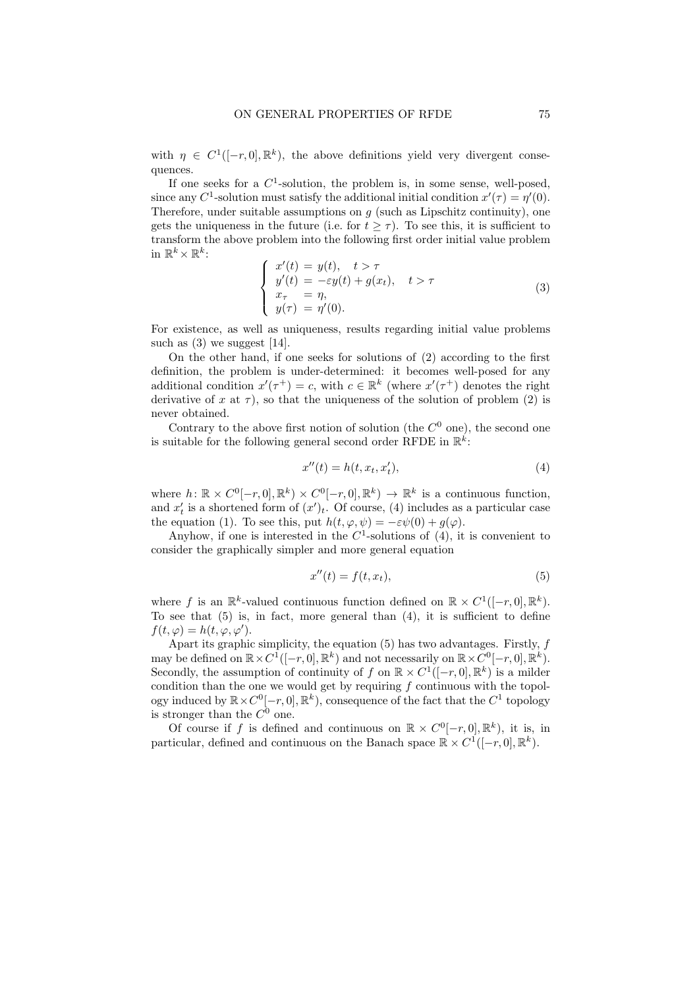with  $\eta \in C^1([-r, 0], \mathbb{R}^k)$ , the above definitions yield very divergent consequences.

If one seeks for a  $C^1$ -solution, the problem is, in some sense, well-posed, since any  $C^1$ -solution must satisfy the additional initial condition  $x'(\tau) = \eta'(0)$ . Therefore, under suitable assumptions on  $g$  (such as Lipschitz continuity), one gets the uniqueness in the future (i.e. for  $t > \tau$ ). To see this, it is sufficient to transform the above problem into the following first order initial value problem in  $\mathbb{R}^k \times \mathbb{R}^k$  $\ddot{\phantom{a}}$ :

$$
\begin{cases}\nx'(t) = y(t), & t > \tau \\
y'(t) = -\varepsilon y(t) + g(x_t), & t > \tau \\
x_{\tau} = \eta, \\
y(\tau) = \eta'(0).\n\end{cases}
$$
\n(3)

For existence, as well as uniqueness, results regarding initial value problems such as  $(3)$  we suggest [14].

On the other hand, if one seeks for solutions of (2) according to the first definition, the problem is under-determined: it becomes well-posed for any additional condition  $x'(\tau^+) = c$ , with  $c \in \mathbb{R}^k$  (where  $x'(\tau^+)$  denotes the right derivative of x at  $\tau$ ), so that the uniqueness of the solution of problem (2) is never obtained.

Contrary to the above first notion of solution (the  $C^0$  one), the second one is suitable for the following general second order RFDE in  $\mathbb{R}^k$ :

$$
x''(t) = h(t, x_t, x'_t),\tag{4}
$$

where  $h: \mathbb{R} \times C^0[-r,0], \mathbb{R}^k \times C^0[-r,0], \mathbb{R}^k \to \mathbb{R}^k$  is a continuous function, and  $x'_{t}$  is a shortened form of  $(x')_{t}$ . Of course, (4) includes as a particular case the equation (1). To see this, put  $h(t, \varphi, \psi) = -\varepsilon \psi(0) + g(\varphi)$ .

Anyhow, if one is interested in the  $C<sup>1</sup>$ -solutions of (4), it is convenient to consider the graphically simpler and more general equation

$$
x''(t) = f(t, x_t),\tag{5}
$$

where f is an  $\mathbb{R}^k$ -valued continuous function defined on  $\mathbb{R} \times C^1([-r,0], \mathbb{R}^k)$ . To see that  $(5)$  is, in fact, more general than  $(4)$ , it is sufficient to define  $f(t, \varphi) = h(t, \varphi, \varphi').$ 

Apart its graphic simplicity, the equation  $(5)$  has two advantages. Firstly, f may be defined on  $\mathbb{R} \times C^1([-r, 0], \mathbb{R}^k)$  and not necessarily on  $\mathbb{R} \times C^0[-r, 0], \mathbb{R}^k)$ . Secondly, the assumption of continuity of f on  $\mathbb{R} \times C^1([-r,0],\mathbb{R}^k)$  is a milder condition than the one we would get by requiring  $f$  continuous with the topology induced by  $\mathbb{R} \times C^0[-r, 0], \mathbb{R}^k$ , consequence of the fact that the  $C^1$  topology is stronger than the  $C^0$  one.

Of course if f is defined and continuous on  $\mathbb{R} \times C^0[-r,0], \mathbb{R}^k$ , it is, in particular, defined and continuous on the Banach space  $\mathbb{R} \times C^1([-r,0],\mathbb{R}^k)$ .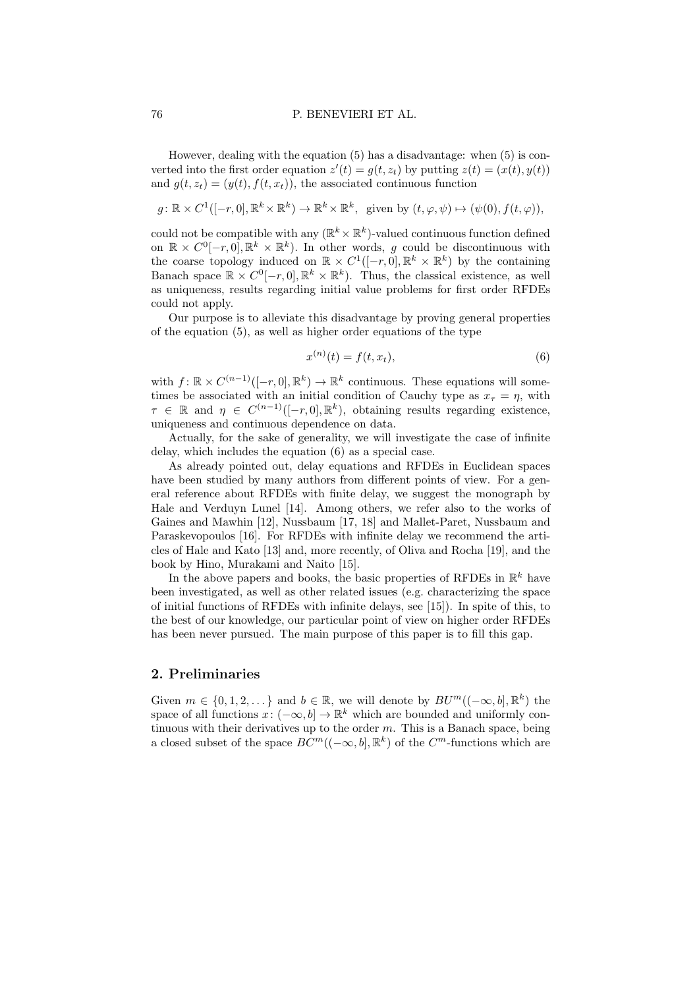However, dealing with the equation (5) has a disadvantage: when (5) is converted into the first order equation  $z'(t) = g(t, z_t)$  by putting  $z(t) = (x(t), y(t))$ and  $g(t, z_t) = (y(t), f(t, x_t))$ , the associated continuous function

 $g: \mathbb{R} \times C^1([-r, 0], \mathbb{R}^k \times \mathbb{R}^k) \to \mathbb{R}^k \times \mathbb{R}^k$ , given by  $(t, \varphi, \psi) \mapsto (\psi(0), f(t, \varphi)),$ 

could not be compatible with any  $(\mathbb{R}^k \times \mathbb{R}^k)$ -valued continuous function defined on  $\mathbb{R} \times C^0[-r,0], \mathbb{R}^k \times \mathbb{R}^k$ . In other words, g could be discontinuous with the coarse topology induced on  $\mathbb{R} \times C^1([-r, 0], \mathbb{R}^k \times \mathbb{R}^k)$  by the containing Banach space  $\mathbb{R} \times C^0[-r,0], \mathbb{R}^k \times \mathbb{R}^k$ . Thus, the classical existence, as well as uniqueness, results regarding initial value problems for first order RFDEs could not apply.

Our purpose is to alleviate this disadvantage by proving general properties of the equation (5), as well as higher order equations of the type

$$
x^{(n)}(t) = f(t, x_t),
$$
\n(6)

with  $f: \mathbb{R} \times C^{(n-1)}([-r, 0], \mathbb{R}^k) \to \mathbb{R}^k$  continuous. These equations will sometimes be associated with an initial condition of Cauchy type as  $x<sub>\tau</sub> = \eta$ , with  $\tau \in \mathbb{R}$  and  $\eta \in C^{(n-1)}([-r, 0], \mathbb{R}^k)$ , obtaining results regarding existence, uniqueness and continuous dependence on data.

Actually, for the sake of generality, we will investigate the case of infinite delay, which includes the equation (6) as a special case.

As already pointed out, delay equations and RFDEs in Euclidean spaces have been studied by many authors from different points of view. For a general reference about RFDEs with finite delay, we suggest the monograph by Hale and Verduyn Lunel [14]. Among others, we refer also to the works of Gaines and Mawhin [12], Nussbaum [17, 18] and Mallet-Paret, Nussbaum and Paraskevopoulos [16]. For RFDEs with infinite delay we recommend the articles of Hale and Kato [13] and, more recently, of Oliva and Rocha [19], and the book by Hino, Murakami and Naito [15].

In the above papers and books, the basic properties of RFDEs in  $\mathbb{R}^k$  have been investigated, as well as other related issues (e.g. characterizing the space of initial functions of RFDEs with infinite delays, see [15]). In spite of this, to the best of our knowledge, our particular point of view on higher order RFDEs has been never pursued. The main purpose of this paper is to fill this gap.

# 2. Preliminaries

Given  $m \in \{0, 1, 2, \dots\}$  and  $b \in \mathbb{R}$ , we will denote by  $BU^m((-\infty, b], \mathbb{R}^k)$  the space of all functions  $x: (-\infty, b] \to \mathbb{R}^k$  which are bounded and uniformly continuous with their derivatives up to the order  $m$ . This is a Banach space, being a closed subset of the space  $BC^m((-\infty, b], \mathbb{R}^k)$  of the  $C^m$ -functions which are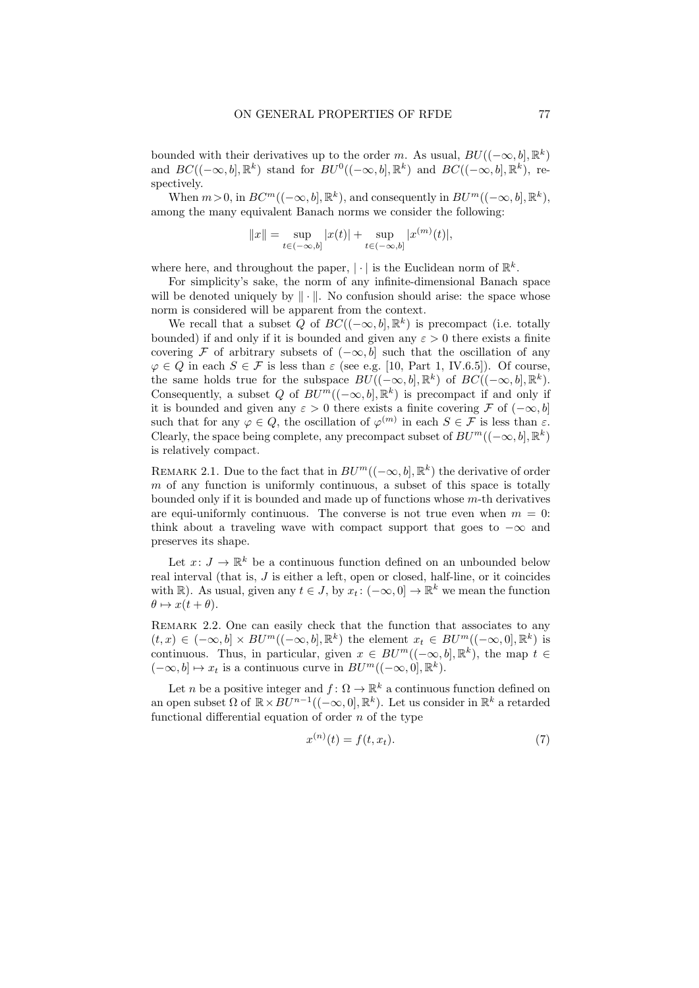bounded with their derivatives up to the order m. As usual,  $BU((-\infty, b], \mathbb{R}^k)$ and  $BC((-\infty, b], \mathbb{R}^k)$  stand for  $BU^0((-\infty, b], \mathbb{R}^k)$  and  $BC((-\infty, b], \mathbb{R}^k)$ , respectively.

When  $m > 0$ , in  $BC^m((-\infty, b], \mathbb{R}^k)$ , and consequently in  $BU^m((-\infty, b], \mathbb{R}^k)$ , among the many equivalent Banach norms we consider the following:

$$
||x|| = \sup_{t \in (-\infty, b]} |x(t)| + \sup_{t \in (-\infty, b]} |x^{(m)}(t)|,
$$

where here, and throughout the paper,  $|\cdot|$  is the Euclidean norm of  $\mathbb{R}^k$ .

For simplicity's sake, the norm of any infinite-dimensional Banach space will be denoted uniquely by  $\|\cdot\|$ . No confusion should arise: the space whose norm is considered will be apparent from the context.

We recall that a subset Q of  $BC((-\infty, b], \mathbb{R}^k)$  is precompact (i.e. totally bounded) if and only if it is bounded and given any  $\varepsilon > 0$  there exists a finite covering F of arbitrary subsets of  $(-\infty, b]$  such that the oscillation of any  $\varphi \in Q$  in each  $S \in \mathcal{F}$  is less than  $\varepsilon$  (see e.g. [10, Part 1, IV.6.5]). Of course, the same holds true for the subspace  $BU((-\infty, b], \mathbb{R}^k)$  of  $BC((-\infty, b], \mathbb{R}^k)$ . Consequently, a subset Q of  $BU^m((-\infty, b], \mathbb{R}^k)$  is precompact if and only if it is bounded and given any  $\varepsilon > 0$  there exists a finite covering F of  $(-\infty, b]$ such that for any  $\varphi \in Q$ , the oscillation of  $\varphi^{(m)}$  in each  $S \in \mathcal{F}$  is less than  $\varepsilon$ . Clearly, the space being complete, any precompact subset of  $BU^m((-\infty, b], \mathbb{R}^k)$ is relatively compact.

REMARK 2.1. Due to the fact that in  $BU^m((-\infty, b], \mathbb{R}^k)$  the derivative of order  $m$  of any function is uniformly continuous, a subset of this space is totally bounded only if it is bounded and made up of functions whose  $m$ -th derivatives are equi-uniformly continuous. The converse is not true even when  $m = 0$ : think about a traveling wave with compact support that goes to  $-\infty$  and preserves its shape.

Let  $x: J \to \mathbb{R}^k$  be a continuous function defined on an unbounded below real interval (that is, J is either a left, open or closed, half-line, or it coincides with  $\mathbb{R}$ ). As usual, given any  $t \in J$ , by  $x_t: (-\infty, 0] \to \mathbb{R}^k$  we mean the function  $\theta \mapsto x(t + \theta).$ 

REMARK 2.2. One can easily check that the function that associates to any  $(t, x) \in (-\infty, b] \times BU^m((-\infty, b], \mathbb{R}^k)$  the element  $x_t \in BU^m((-\infty, 0], \mathbb{R}^k)$  is continuous. Thus, in particular, given  $x \in BU^m((-\infty, b], \mathbb{R}^k)$ , the map  $t \in$  $(-\infty, b] \mapsto x_t$  is a continuous curve in  $BU^m((-\infty, 0], \mathbb{R}^k)$ .

Let n be a positive integer and  $f: \Omega \to \mathbb{R}^k$  a continuous function defined on an open subset  $\Omega$  of  $\mathbb{R} \times B\tilde{U}^{n-1}((-\infty,0],\mathbb{R}^k)$ . Let us consider in  $\mathbb{R}^k$  a retarded functional differential equation of order  $n$  of the type

$$
x^{(n)}(t) = f(t, x_t). \tag{7}
$$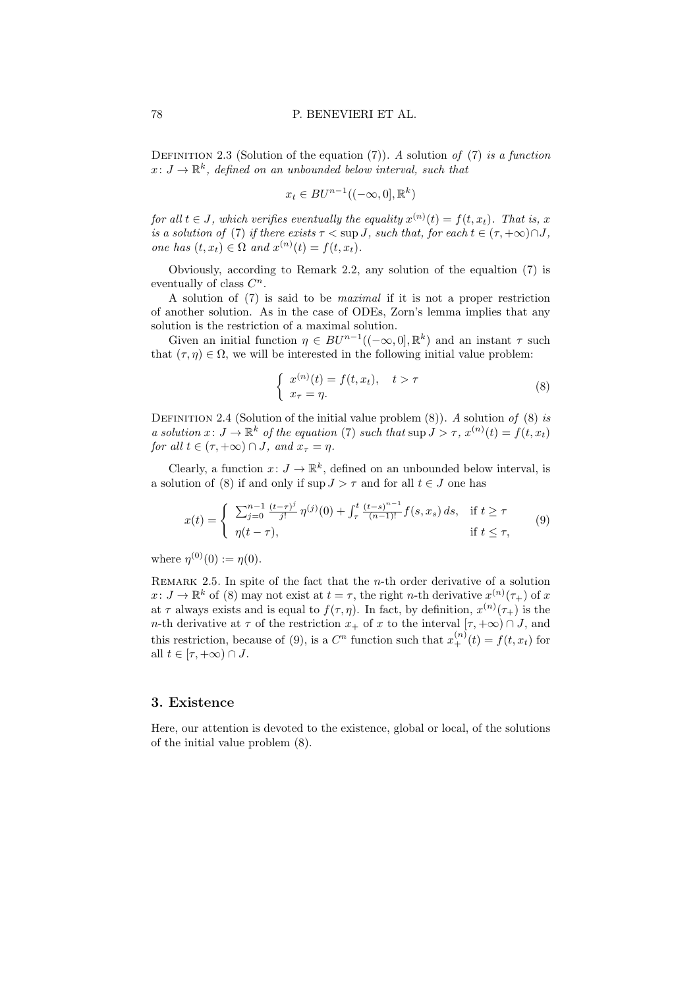DEFINITION 2.3 (Solution of the equation  $(7)$ ). A solution of  $(7)$  is a function  $x\colon J\to\mathbb{R}^k$ , defined on an unbounded below interval, such that

$$
x_t \in BU^{n-1}((-\infty, 0], \mathbb{R}^k)
$$

for all  $t \in J$ , which verifies eventually the equality  $x^{(n)}(t) = f(t, x_t)$ . That is, x is a solution of (7) if there exists  $\tau < \sup J$ , such that, for each  $t \in (\tau, +\infty) \cap J$ , one has  $(t, x_t) \in \Omega$  and  $x^{(n)}(t) = f(t, x_t)$ .

Obviously, according to Remark 2.2, any solution of the equaltion (7) is eventually of class  $C^n$ .

A solution of (7) is said to be maximal if it is not a proper restriction of another solution. As in the case of ODEs, Zorn's lemma implies that any solution is the restriction of a maximal solution.

Given an initial function  $\eta \in BU^{n-1}((-\infty,0],\mathbb{R}^k)$  and an instant  $\tau$  such that  $(\tau, \eta) \in \Omega$ , we will be interested in the following initial value problem:

$$
\begin{cases}\nx^{(n)}(t) = f(t, x_t), & t > \tau \\
x_\tau = \eta.\n\end{cases}\n\tag{8}
$$

DEFINITION 2.4 (Solution of the initial value problem  $(8)$ ). A solution of  $(8)$  is a solution  $x: J \to \mathbb{R}^k$  of the equation (7) such that  $\sup J > \tau$ ,  $x^{(n)}(t) = f(t, x_t)$ for all  $t \in (\tau, +\infty) \cap J$ , and  $x_{\tau} = \eta$ .

Clearly, a function  $x: J \to \mathbb{R}^k$ , defined on an unbounded below interval, is a solution of (8) if and only if  $\sup J > \tau$  and for all  $t \in J$  one has

$$
x(t) = \begin{cases} \sum_{j=0}^{n-1} \frac{(t-\tau)^j}{j!} \eta^{(j)}(0) + \int_{\tau}^t \frac{(t-s)^{n-1}}{(n-1)!} f(s, x_s) ds, & \text{if } t \ge \tau \\ \eta(t-\tau), & \text{if } t \le \tau, \end{cases}
$$
(9)

where  $\eta^{(0)}(0) := \eta(0)$ .

REMARK 2.5. In spite of the fact that the  $n$ -th order derivative of a solution  $x: J \to \mathbb{R}^k$  of (8) may not exist at  $t = \tau$ , the right *n*-th derivative  $x^{(n)}(\tau_+)$  of x at  $\tau$  always exists and is equal to  $f(\tau, \eta)$ . In fact, by definition,  $x^{(n)}(\tau)$  is the n-th derivative at  $\tau$  of the restriction  $x_+$  of x to the interval  $[\tau, +\infty) \cap J$ , and this restriction, because of (9), is a  $C<sup>n</sup>$  function such that  $x_{+}^{(n)}(t) = f(t, x_t)$  for all  $t \in [\tau, +\infty) \cap J$ .

#### 3. Existence

Here, our attention is devoted to the existence, global or local, of the solutions of the initial value problem (8).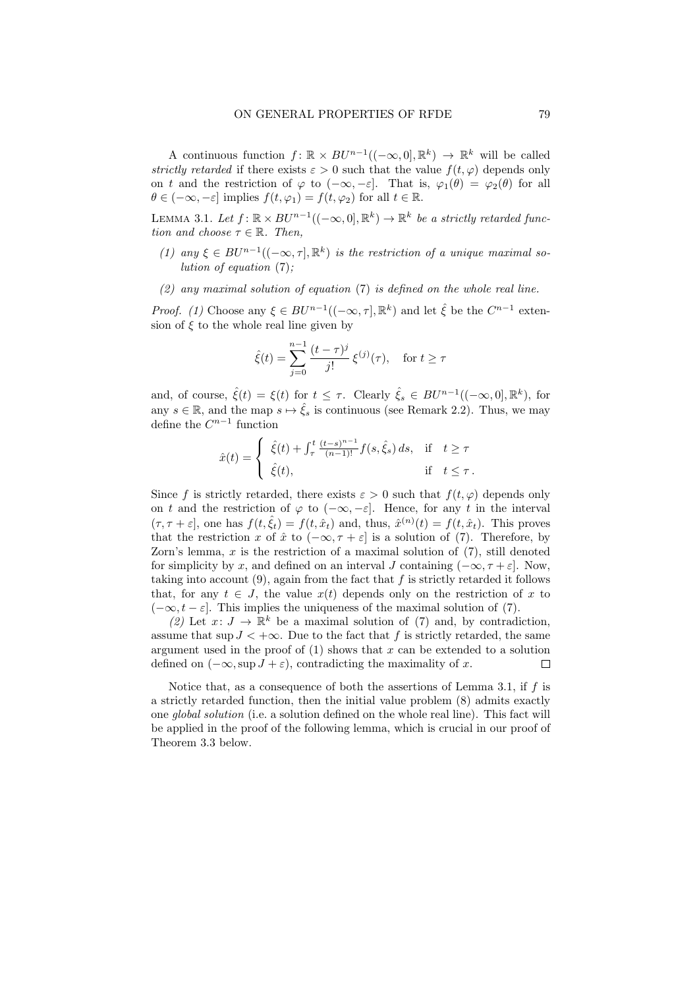A continuous function  $f: \mathbb{R} \times BU^{n-1}((-\infty,0], \mathbb{R}^k) \to \mathbb{R}^k$  will be called strictly retarded if there exists  $\varepsilon > 0$  such that the value  $f(t, \varphi)$  depends only on t and the restriction of  $\varphi$  to  $(-\infty, -\varepsilon]$ . That is,  $\varphi_1(\theta) = \varphi_2(\theta)$  for all  $\theta \in (-\infty, -\varepsilon]$  implies  $f(t, \varphi_1) = f(t, \varphi_2)$  for all  $t \in \mathbb{R}$ .

LEMMA 3.1. Let  $f: \mathbb{R} \times BU^{n-1}((-\infty,0], \mathbb{R}^k) \to \mathbb{R}^k$  be a strictly retarded function and choose  $\tau \in \mathbb{R}$ . Then,

- (1) any  $\xi \in BU^{n-1}((-\infty, \tau], \mathbb{R}^k)$  is the restriction of a unique maximal solution of equation  $(7)$ :
- (2) any maximal solution of equation  $(7)$  is defined on the whole real line.

*Proof.* (1) Choose any  $\xi \in BU^{n-1}((-\infty, \tau], \mathbb{R}^k)$  and let  $\hat{\xi}$  be the  $C^{n-1}$  extension of  $\xi$  to the whole real line given by

$$
\hat{\xi}(t) = \sum_{j=0}^{n-1} \frac{(t-\tau)^j}{j!} \xi^{(j)}(\tau), \text{ for } t \ge \tau
$$

and, of course,  $\hat{\xi}(t) = \xi(t)$  for  $t \leq \tau$ . Clearly  $\hat{\xi}_s \in BU^{n-1}((-\infty,0], \mathbb{R}^k)$ , for any  $s \in \mathbb{R}$ , and the map  $s \mapsto \hat{\xi}_s$  is continuous (see Remark 2.2). Thus, we may define the  $C^{n-1}$  function

$$
\hat{x}(t) = \begin{cases} \hat{\xi}(t) + \int_{\tau}^{t} \frac{(t-s)^{n-1}}{(n-1)!} f(s, \hat{\xi}_s) ds, & \text{if } t \geq \tau \\ \hat{\xi}(t), & \text{if } t \leq \tau. \end{cases}
$$

Since f is strictly retarded, there exists  $\varepsilon > 0$  such that  $f(t, \varphi)$  depends only on t and the restriction of  $\varphi$  to  $(-\infty, -\varepsilon]$ . Hence, for any t in the interval  $(\tau, \tau + \varepsilon]$ , one has  $f(t, \hat{\xi}_t) = f(t, \hat{x}_t)$  and, thus,  $\hat{x}^{(n)}(t) = f(t, \hat{x}_t)$ . This proves that the restriction x of  $\hat{x}$  to  $(-\infty, \tau + \varepsilon]$  is a solution of (7). Therefore, by Zorn's lemma,  $x$  is the restriction of a maximal solution of  $(7)$ , still denoted for simplicity by x, and defined on an interval J containing  $(-\infty, \tau + \varepsilon]$ . Now, taking into account  $(9)$ , again from the fact that f is strictly retarded it follows that, for any  $t \in J$ , the value  $x(t)$  depends only on the restriction of x to  $(-\infty, t-\varepsilon]$ . This implies the uniqueness of the maximal solution of (7).

(2) Let  $x: J \to \mathbb{R}^k$  be a maximal solution of (7) and, by contradiction, assume that sup  $J < +\infty$ . Due to the fact that f is strictly retarded, the same argument used in the proof of  $(1)$  shows that x can be extended to a solution defined on  $(-\infty, \sup J + \varepsilon)$ , contradicting the maximality of x. П

Notice that, as a consequence of both the assertions of Lemma 3.1, if  $f$  is a strictly retarded function, then the initial value problem (8) admits exactly one global solution (i.e. a solution defined on the whole real line). This fact will be applied in the proof of the following lemma, which is crucial in our proof of Theorem 3.3 below.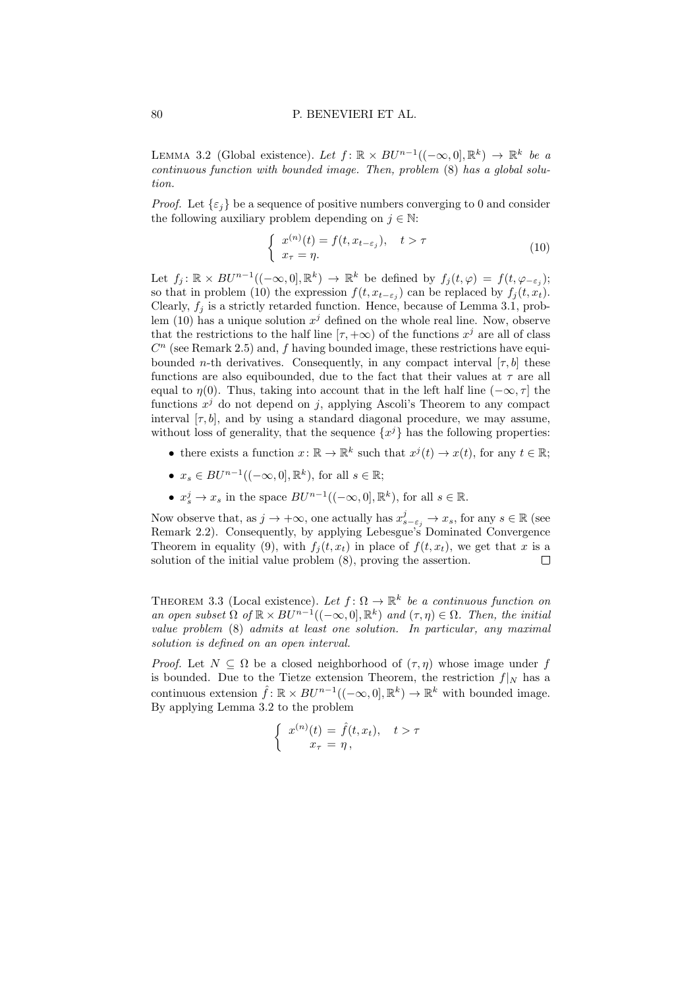LEMMA 3.2 (Global existence). Let  $f: \mathbb{R} \times BU^{n-1}((-\infty,0], \mathbb{R}^k) \to \mathbb{R}^k$  be a continuous function with bounded image. Then, problem (8) has a global solution.

*Proof.* Let  $\{\varepsilon_i\}$  be a sequence of positive numbers converging to 0 and consider the following auxiliary problem depending on  $j \in \mathbb{N}$ :

$$
\begin{cases}\nx^{(n)}(t) = f(t, x_{t-\varepsilon_j}), & t > \tau \\
x_\tau = \eta.\n\end{cases}
$$
\n(10)

Let  $f_j: \mathbb{R} \times BU^{n-1}((-\infty,0], \mathbb{R}^k) \to \mathbb{R}^k$  be defined by  $f_j(t,\varphi) = f(t,\varphi_{-\varepsilon_j})$ ; so that in problem (10) the expression  $f(t, x_{t-\varepsilon_j})$  can be replaced by  $f_j(t, x_t)$ . Clearly,  $f_i$  is a strictly retarded function. Hence, because of Lemma 3.1, problem (10) has a unique solution  $x^j$  defined on the whole real line. Now, observe that the restrictions to the half line  $[\tau, +\infty)$  of the functions  $x^j$  are all of class  $C<sup>n</sup>$  (see Remark 2.5) and, f having bounded image, these restrictions have equibounded *n*-th derivatives. Consequently, in any compact interval [ $\tau$ , b] these functions are also equibounded, due to the fact that their values at  $\tau$  are all equal to  $\eta(0)$ . Thus, taking into account that in the left half line  $(-\infty, \tau]$  the functions  $x^j$  do not depend on j, applying Ascoli's Theorem to any compact interval  $[\tau, b]$ , and by using a standard diagonal procedure, we may assume, without loss of generality, that the sequence  $\{x^j\}$  has the following properties:

- there exists a function  $x \colon \mathbb{R} \to \mathbb{R}^k$  such that  $x^j(t) \to x(t)$ , for any  $t \in \mathbb{R}$ ;
- $x_s \in BU^{n-1}((-\infty,0],\mathbb{R}^k)$ , for all  $s \in \mathbb{R}$ ;
- $x_s^j \to x_s$  in the space  $BU^{n-1}((-\infty,0], \mathbb{R}^k)$ , for all  $s \in \mathbb{R}$ .

Now observe that, as  $j \to +\infty$ , one actually has  $x_{s-\varepsilon_j}^j \to x_s$ , for any  $s \in \mathbb{R}$  (see Remark 2.2). Consequently, by applying Lebesgue's Dominated Convergence Theorem in equality (9), with  $f_i(t, x_t)$  in place of  $f(t, x_t)$ , we get that x is a solution of the initial value problem (8), proving the assertion.  $\Box$ 

THEOREM 3.3 (Local existence). Let  $f: \Omega \to \mathbb{R}^k$  be a continuous function on an open subset  $\Omega$  of  $\mathbb{R} \times BU^{n-1}((-\infty,0], \mathbb{R}^k)$  and  $(\tau, \eta) \in \Omega$ . Then, the initial value problem (8) admits at least one solution. In particular, any maximal solution is defined on an open interval.

*Proof.* Let  $N \subseteq \Omega$  be a closed neighborhood of  $(\tau, \eta)$  whose image under f is bounded. Due to the Tietze extension Theorem, the restriction  $f|_N$  has a continuous extension  $\hat{f}$ :  $\mathbb{R} \times BU^{n-1}((-\infty,0], \mathbb{R}^k) \to \mathbb{R}^k$  with bounded image. By applying Lemma 3.2 to the problem

$$
\begin{cases}\nx^{(n)}(t) = \hat{f}(t, x_t), & t > \tau \\
x_\tau = \eta,\n\end{cases}
$$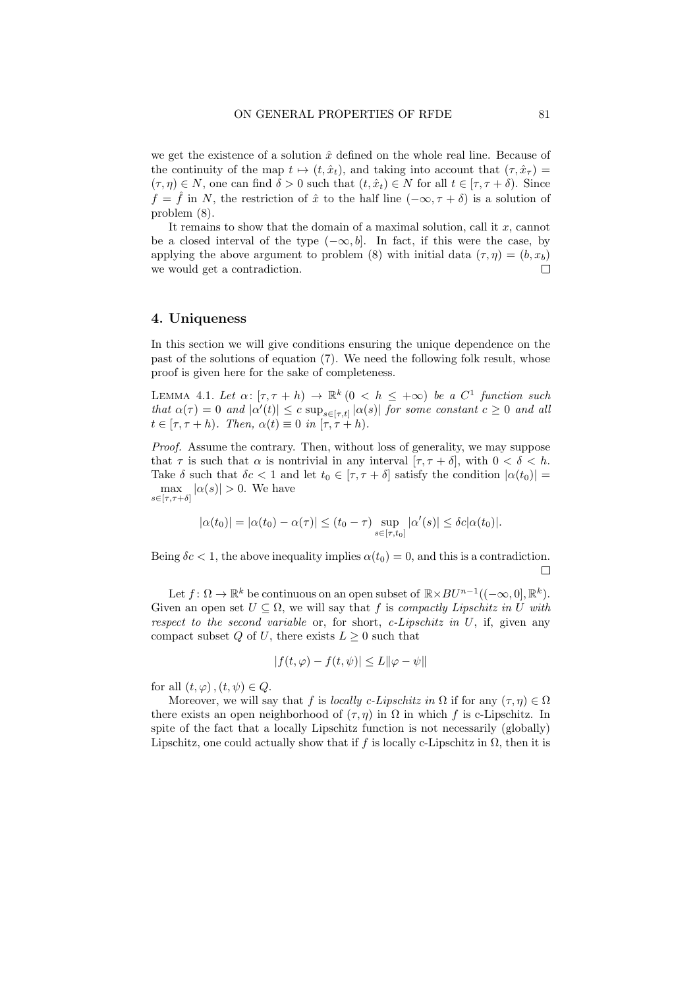we get the existence of a solution  $\hat{x}$  defined on the whole real line. Because of the continuity of the map  $t \mapsto (t, \hat{x}_t)$ , and taking into account that  $(\tau, \hat{x}_\tau)$  =  $(\tau, \eta) \in N$ , one can find  $\delta > 0$  such that  $(t, \hat{x}_t) \in N$  for all  $t \in [\tau, \tau + \delta)$ . Since  $f = \hat{f}$  in N, the restriction of  $\hat{x}$  to the half line  $(-\infty, \tau + \delta)$  is a solution of problem (8).

It remains to show that the domain of a maximal solution, call it  $x$ , cannot be a closed interval of the type  $(-\infty, b]$ . In fact, if this were the case, by applying the above argument to problem (8) with initial data  $(\tau, \eta) = (b, x_b)$ we would get a contradiction. П

### 4. Uniqueness

In this section we will give conditions ensuring the unique dependence on the past of the solutions of equation (7). We need the following folk result, whose proof is given here for the sake of completeness.

LEMMA 4.1. Let  $\alpha: [\tau, \tau + h) \to \mathbb{R}^k \ (0 \leq h \leq +\infty)$  be a  $C^1$  function such that  $\alpha(\tau) = 0$  and  $|\alpha'(t)| \leq c \sup_{s \in [\tau,t]} |\alpha(s)|$  for some constant  $c \geq 0$  and all  $t \in [\tau, \tau + h)$ . Then,  $\alpha(t) \equiv 0$  in  $[\tau, \tau + h)$ .

Proof. Assume the contrary. Then, without loss of generality, we may suppose that  $\tau$  is such that  $\alpha$  is nontrivial in any interval  $[\tau, \tau + \delta]$ , with  $0 < \delta < h$ . Take  $\delta$  such that  $\delta c < 1$  and let  $t_0 \in [\tau, \tau + \delta]$  satisfy the condition  $|\alpha(t_0)| =$  $\max_{s \in [\tau, \tau + \delta]} |\alpha(s)| > 0.$  We have

$$
|\alpha(t_0)| = |\alpha(t_0) - \alpha(\tau)| \le (t_0 - \tau) \sup_{s \in [\tau, t_0]} |\alpha'(s)| \le \delta c |\alpha(t_0)|.
$$

Being  $\delta c < 1$ , the above inequality implies  $\alpha(t_0) = 0$ , and this is a contradiction. П

Let  $f: \Omega \to \mathbb{R}^k$  be continuous on an open subset of  $\mathbb{R} \times BU^{n-1}((-\infty,0], \mathbb{R}^k)$ . Given an open set  $U \subseteq \Omega$ , we will say that f is compactly Lipschitz in U with respect to the second variable or, for short, c-Lipschitz in  $U$ , if, given any compact subset Q of U, there exists  $L \geq 0$  such that

$$
|f(t,\varphi) - f(t,\psi)| \le L \|\varphi - \psi\|
$$

for all  $(t, \varphi)$ ,  $(t, \psi) \in Q$ .

Moreover, we will say that f is locally c-Lipschitz in  $\Omega$  if for any  $(\tau, \eta) \in \Omega$ there exists an open neighborhood of  $(\tau, \eta)$  in  $\Omega$  in which f is c-Lipschitz. In spite of the fact that a locally Lipschitz function is not necessarily (globally) Lipschitz, one could actually show that if f is locally c-Lipschitz in  $\Omega$ , then it is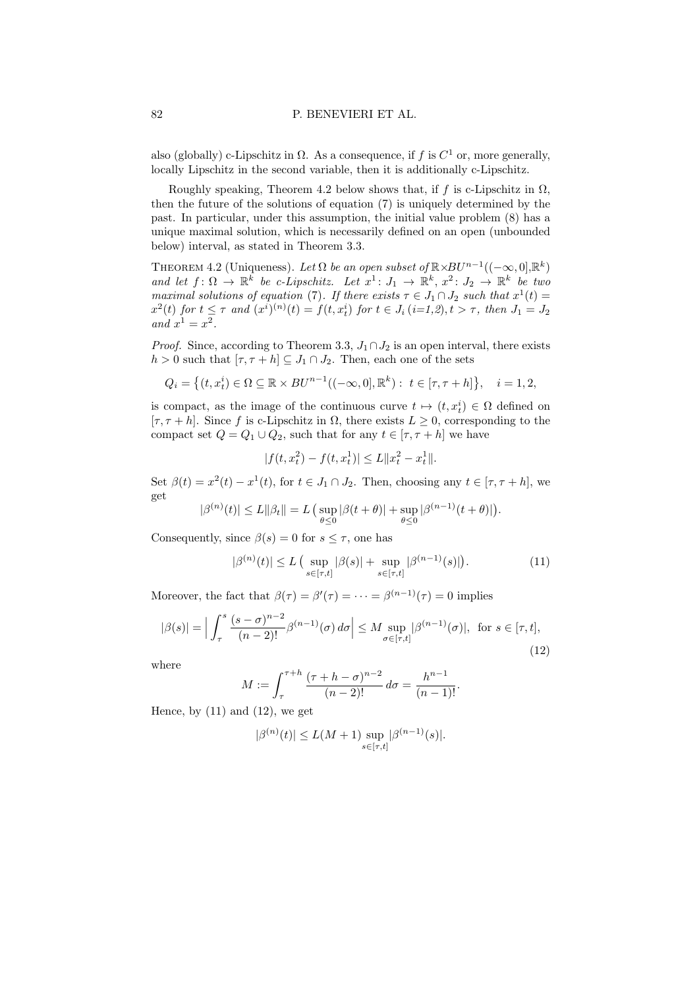also (globally) c-Lipschitz in  $\Omega$ . As a consequence, if f is  $C^1$  or, more generally, locally Lipschitz in the second variable, then it is additionally c-Lipschitz.

Roughly speaking, Theorem 4.2 below shows that, if f is c-Lipschitz in  $\Omega$ , then the future of the solutions of equation (7) is uniquely determined by the past. In particular, under this assumption, the initial value problem (8) has a unique maximal solution, which is necessarily defined on an open (unbounded below) interval, as stated in Theorem 3.3.

THEOREM 4.2 (Uniqueness). Let  $\Omega$  be an open subset of  $\mathbb{R} \times BU^{n-1}((-\infty,0], \mathbb{R}^k)$ and let  $f: \Omega \to \mathbb{R}^k$  be c-Lipschitz. Let  $x^1: J_1 \to \mathbb{R}^k$ ,  $x^2: J_2 \to \mathbb{R}^k$  be two maximal solutions of equation (7). If there exists  $\tau \in J_1 \cap J_2$  such that  $x^1(t) =$  $x^2(t)$  for  $t \leq \tau$  and  $(x^i)^{(n)}(t) = f(t, x_t^i)$  for  $t \in J_i$  (i=1,2),  $t > \tau$ , then  $J_1 = J_2$ and  $x^1 = x^2$ .

*Proof.* Since, according to Theorem 3.3,  $J_1 \cap J_2$  is an open interval, there exists  $h > 0$  such that  $[\tau, \tau + h] \subseteq J_1 \cap J_2$ . Then, each one of the sets

$$
Q_i = \left\{ (t, x_t^i) \in \Omega \subseteq \mathbb{R} \times BU^{n-1}((-\infty, 0], \mathbb{R}^k) : t \in [\tau, \tau + h] \right\}, \quad i = 1, 2,
$$

is compact, as the image of the continuous curve  $t \mapsto (t, x_t^i) \in \Omega$  defined on [ $\tau$ ,  $\tau$  + h]. Since f is c-Lipschitz in  $\Omega$ , there exists  $L > 0$ , corresponding to the compact set  $Q = Q_1 \cup Q_2$ , such that for any  $t \in [\tau, \tau + h]$  we have

$$
|f(t, x_t^2) - f(t, x_t^1)| \le L \|x_t^2 - x_t^1\|.
$$

Set  $\beta(t) = x^2(t) - x^1(t)$ , for  $t \in J_1 \cap J_2$ . Then, choosing any  $t \in [\tau, \tau + h]$ , we get

$$
|\beta^{(n)}(t)| \le L \|\beta_t\| = L \left( \sup_{\theta \le 0} |\beta(t+\theta)| + \sup_{\theta \le 0} |\beta^{(n-1)}(t+\theta)| \right).
$$

Consequently, since  $\beta(s) = 0$  for  $s \leq \tau$ , one has

$$
|\beta^{(n)}(t)| \le L \left( \sup_{s \in [\tau, t]} |\beta(s)| + \sup_{s \in [\tau, t]} |\beta^{(n-1)}(s)| \right). \tag{11}
$$

Moreover, the fact that  $\beta(\tau) = \beta'(\tau) = \cdots = \beta^{(n-1)}(\tau) = 0$  implies

$$
|\beta(s)| = \Big| \int_{\tau}^{s} \frac{(s-\sigma)^{n-2}}{(n-2)!} \beta^{(n-1)}(\sigma) d\sigma \Big| \leq M \sup_{\sigma \in [\tau,t]} |\beta^{(n-1)}(\sigma)|, \text{ for } s \in [\tau,t],
$$
\n(12)

where

$$
M := \int_{\tau}^{\tau+h} \frac{(\tau+h-\sigma)^{n-2}}{(n-2)!} \, d\sigma = \frac{h^{n-1}}{(n-1)!}.
$$

Hence, by  $(11)$  and  $(12)$ , we get

$$
|\beta^{(n)}(t)| \le L(M+1) \sup_{s \in [\tau,t]} |\beta^{(n-1)}(s)|.
$$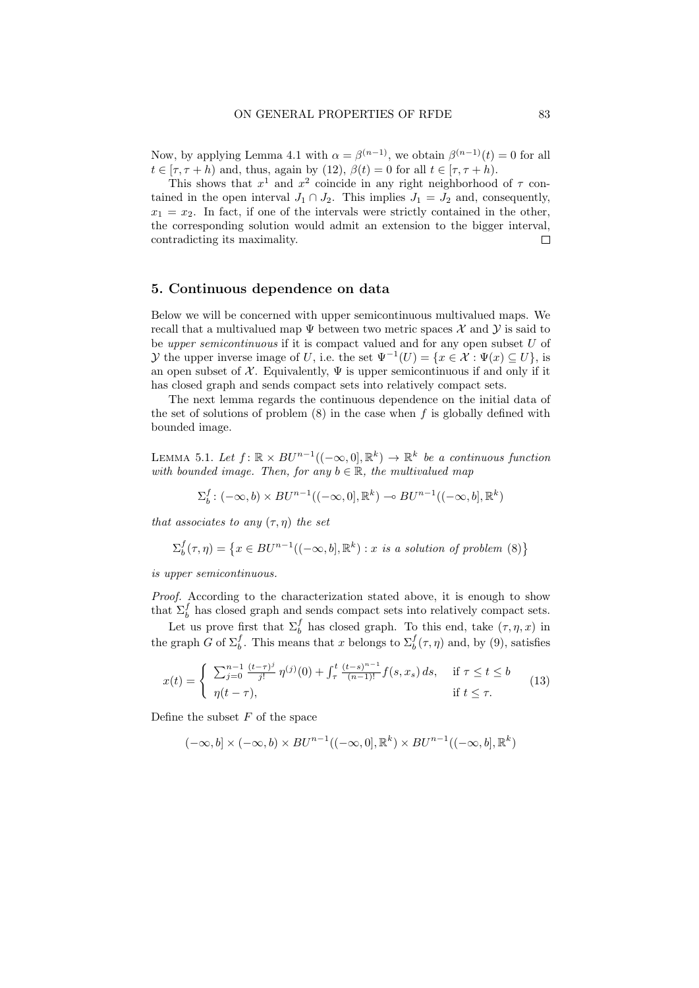Now, by applying Lemma 4.1 with  $\alpha = \beta^{(n-1)}$ , we obtain  $\beta^{(n-1)}(t) = 0$  for all  $t \in [\tau, \tau + h)$  and, thus, again by (12),  $\beta(t) = 0$  for all  $t \in [\tau, \tau + h)$ .

This shows that  $x^1$  and  $x^2$  coincide in any right neighborhood of  $\tau$  contained in the open interval  $J_1 \cap J_2$ . This implies  $J_1 = J_2$  and, consequently,  $x_1 = x_2$ . In fact, if one of the intervals were strictly contained in the other, the corresponding solution would admit an extension to the bigger interval, contradicting its maximality.  $\Box$ 

## 5. Continuous dependence on data

Below we will be concerned with upper semicontinuous multivalued maps. We recall that a multivalued map  $\Psi$  between two metric spaces X and Y is said to be upper semicontinuous if it is compact valued and for any open subset  $U$  of *y* the upper inverse image of U, i.e. the set  $\Psi^{-1}(U) = \{x \in \mathcal{X} : \Psi(x) \subseteq U\}$ , is an open subset of  $\mathcal X$ . Equivalently,  $\Psi$  is upper semicontinuous if and only if it has closed graph and sends compact sets into relatively compact sets.

The next lemma regards the continuous dependence on the initial data of the set of solutions of problem  $(8)$  in the case when f is globally defined with bounded image.

LEMMA 5.1. Let  $f: \mathbb{R} \times BU^{n-1}((-\infty,0], \mathbb{R}^k) \to \mathbb{R}^k$  be a continuous function with bounded image. Then, for any  $b \in \mathbb{R}$ , the multivalued map

$$
\Sigma_b^f \colon (-\infty, b) \times BU^{n-1}((-\infty, 0], \mathbb{R}^k) \to BU^{n-1}((-\infty, b], \mathbb{R}^k)
$$

that associates to any  $(\tau, \eta)$  the set

$$
\Sigma_b^f(\tau,\eta) = \left\{ x \in BU^{n-1}((-\infty,b],\mathbb{R}^k) : x \text{ is a solution of problem (8)} \right\}
$$

is upper semicontinuous.

Proof. According to the characterization stated above, it is enough to show that  $\Sigma_b^f$  has closed graph and sends compact sets into relatively compact sets.

Let us prove first that  $\Sigma_b^f$  has closed graph. To this end, take  $(\tau, \eta, x)$  in the graph G of  $\Sigma_b^f$ . This means that x belongs to  $\Sigma_b^f(\tau, \eta)$  and, by (9), satisfies

$$
x(t) = \begin{cases} \sum_{j=0}^{n-1} \frac{(t-\tau)^j}{j!} \eta^{(j)}(0) + \int_{\tau}^t \frac{(t-s)^{n-1}}{(n-1)!} f(s, x_s) ds, & \text{if } \tau \le t \le b \\ \eta(t-\tau), & \text{if } t \le \tau. \end{cases}
$$
(13)

Define the subset  $F$  of the space

$$
(-\infty, b] \times (-\infty, b) \times BU^{n-1}((-\infty, 0], \mathbb{R}^k) \times BU^{n-1}((-\infty, b], \mathbb{R}^k)
$$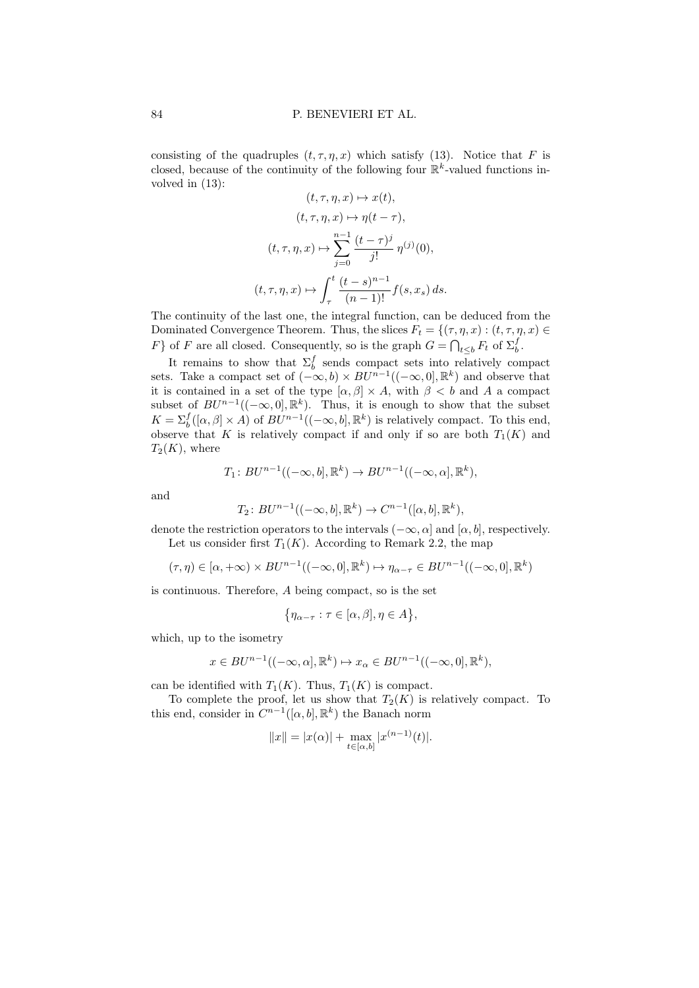consisting of the quadruples  $(t, \tau, \eta, x)$  which satisfy (13). Notice that F is closed, because of the continuity of the following four  $\mathbb{R}^k$ -valued functions involved in (13):

$$
(t, \tau, \eta, x) \mapsto x(t),
$$

$$
(t, \tau, \eta, x) \mapsto \eta(t - \tau),
$$

$$
(t, \tau, \eta, x) \mapsto \sum_{j=0}^{n-1} \frac{(t - \tau)^j}{j!} \eta^{(j)}(0),
$$

$$
(t, \tau, \eta, x) \mapsto \int_{\tau}^{t} \frac{(t - s)^{n-1}}{(n-1)!} f(s, x_s) ds.
$$

The continuity of the last one, the integral function, can be deduced from the Dominated Convergence Theorem. Thus, the slices  $F_t = \{(\tau, \eta, x) : (t, \tau, \eta, x) \in$ F} of F are all closed. Consequently, so is the graph  $G = \bigcap_{t \leq b} F_t$  of  $\Sigma_b^f$ .

It remains to show that  $\Sigma_b^f$  sends compact sets into relatively compact sets. Take a compact set of  $(-\infty, b) \times BU^{n-1}((-\infty, 0], \mathbb{R}^k)$  and observe that it is contained in a set of the type  $[\alpha, \beta] \times A$ , with  $\beta < b$  and A a compact subset of  $BU^{n-1}((-\infty,0],\mathbb{R}^k)$ . Thus, it is enough to show that the subset  $K = \sum_{b}^{f} ([\alpha, \beta] \times A)$  of  $BU^{n-1}((-\infty, b], \mathbb{R}^k)$  is relatively compact. To this end, observe that K is relatively compact if and only if so are both  $T_1(K)$  and  $T_2(K)$ , where

$$
T_1: BU^{n-1}((-\infty, b], \mathbb{R}^k) \to BU^{n-1}((-\infty, \alpha], \mathbb{R}^k),
$$

and

$$
T_2: BU^{n-1}((-\infty, b], \mathbb{R}^k) \to C^{n-1}([\alpha, b], \mathbb{R}^k),
$$

denote the restriction operators to the intervals ( $-\infty$ ,  $\alpha$ ) and [ $\alpha$ ,  $b$ ], respectively. Let us consider first  $T_1(K)$ . According to Remark 2.2, the map

$$
(\tau,\eta) \in [\alpha,+\infty) \times BU^{n-1}((-\infty,0],\mathbb{R}^k) \mapsto \eta_{\alpha-\tau} \in BU^{n-1}((-\infty,0],\mathbb{R}^k)
$$

is continuous. Therefore, A being compact, so is the set

$$
\{\eta_{\alpha-\tau} : \tau \in [\alpha,\beta], \eta \in A\},\
$$

which, up to the isometry

$$
x \in BU^{n-1}((-\infty, \alpha], \mathbb{R}^k) \mapsto x_\alpha \in BU^{n-1}((-\infty, 0], \mathbb{R}^k),
$$

can be identified with  $T_1(K)$ . Thus,  $T_1(K)$  is compact.

To complete the proof, let us show that  $T_2(K)$  is relatively compact. To this end, consider in  $C^{n-1}([\alpha, b], \mathbb{R}^k)$  the Banach norm

$$
||x|| = |x(\alpha)| + \max_{t \in [\alpha, b]} |x^{(n-1)}(t)|.
$$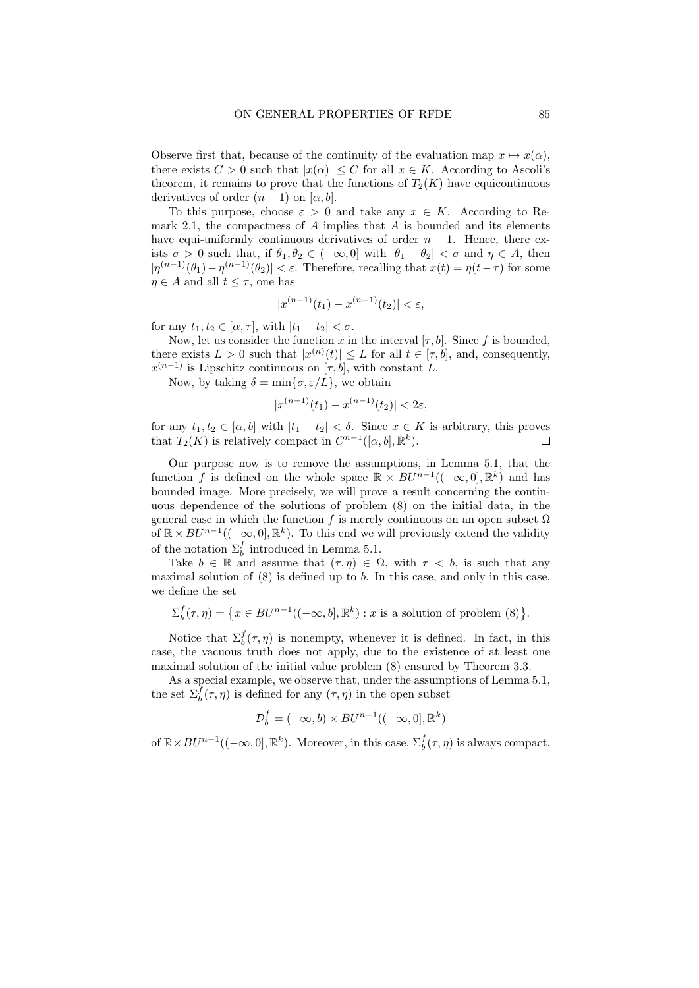Observe first that, because of the continuity of the evaluation map  $x \mapsto x(\alpha)$ , there exists  $C > 0$  such that  $|x(\alpha)| \leq C$  for all  $x \in K$ . According to Ascoli's theorem, it remains to prove that the functions of  $T_2(K)$  have equicontinuous derivatives of order  $(n-1)$  on  $[\alpha, b]$ .

To this purpose, choose  $\varepsilon > 0$  and take any  $x \in K$ . According to Remark 2.1, the compactness of  $A$  implies that  $A$  is bounded and its elements have equi-uniformly continuous derivatives of order  $n - 1$ . Hence, there exists  $\sigma > 0$  such that, if  $\theta_1, \theta_2 \in (-\infty, 0]$  with  $|\theta_1 - \theta_2| < \sigma$  and  $\eta \in A$ , then  $|\eta^{(n-1)}(\theta_1)-\eta^{(n-1)}(\theta_2)| < \varepsilon$ . Therefore, recalling that  $x(t) = \eta(t-\tau)$  for some  $\eta \in A$  and all  $t \leq \tau$ , one has

$$
|x^{(n-1)}(t_1) - x^{(n-1)}(t_2)| < \varepsilon
$$

for any  $t_1, t_2 \in [\alpha, \tau]$ , with  $|t_1 - t_2| < \sigma$ .

Now, let us consider the function x in the interval  $[\tau, b]$ . Since f is bounded, there exists  $L > 0$  such that  $|x^{(n)}(t)| \leq L$  for all  $t \in [\tau, b]$ , and, consequently,  $x^{(n-1)}$  is Lipschitz continuous on  $[\tau, b]$ , with constant L.

Now, by taking  $\delta = \min\{\sigma, \varepsilon/L\}$ , we obtain

$$
|x^{(n-1)}(t_1) - x^{(n-1)}(t_2)| < 2\varepsilon
$$

for any  $t_1, t_2 \in [\alpha, b]$  with  $|t_1 - t_2| < \delta$ . Since  $x \in K$  is arbitrary, this proves that  $T_2(K)$  is relatively compact in  $C^{n-1}([\alpha, b], \mathbb{R}^k)$ .  $\Box$ 

Our purpose now is to remove the assumptions, in Lemma 5.1, that the function f is defined on the whole space  $\mathbb{R} \times BU^{n-1}((-\infty,0], \mathbb{R}^k)$  and has bounded image. More precisely, we will prove a result concerning the continuous dependence of the solutions of problem (8) on the initial data, in the general case in which the function f is merely continuous on an open subset  $\Omega$ of  $\mathbb{R} \times BU^{n-1}((-\infty,0], \mathbb{R}^k)$ . To this end we will previously extend the validity of the notation  $\Sigma_b^f$  introduced in Lemma 5.1.

Take  $b \in \mathbb{R}$  and assume that  $(\tau, \eta) \in \Omega$ , with  $\tau < b$ , is such that any maximal solution of  $(8)$  is defined up to b. In this case, and only in this case, we define the set

$$
\Sigma_b^f(\tau,\eta) = \left\{ x \in BU^{n-1}((-\infty,b],\mathbb{R}^k) : x \text{ is a solution of problem (8)} \right\}.
$$

Notice that  $\Sigma_b^f(\tau, \eta)$  is nonempty, whenever it is defined. In fact, in this case, the vacuous truth does not apply, due to the existence of at least one maximal solution of the initial value problem (8) ensured by Theorem 3.3.

As a special example, we observe that, under the assumptions of Lemma 5.1, the set  $\Sigma_b^{\bar{f}}(\tau, \eta)$  is defined for any  $(\tau, \eta)$  in the open subset

$$
\mathcal{D}_b^f = (-\infty, b) \times BU^{n-1}((-\infty, 0], \mathbb{R}^k)
$$

of  $\mathbb{R} \times BU^{n-1}((-\infty,0], \mathbb{R}^k)$ . Moreover, in this case,  $\Sigma_b^f(\tau, \eta)$  is always compact.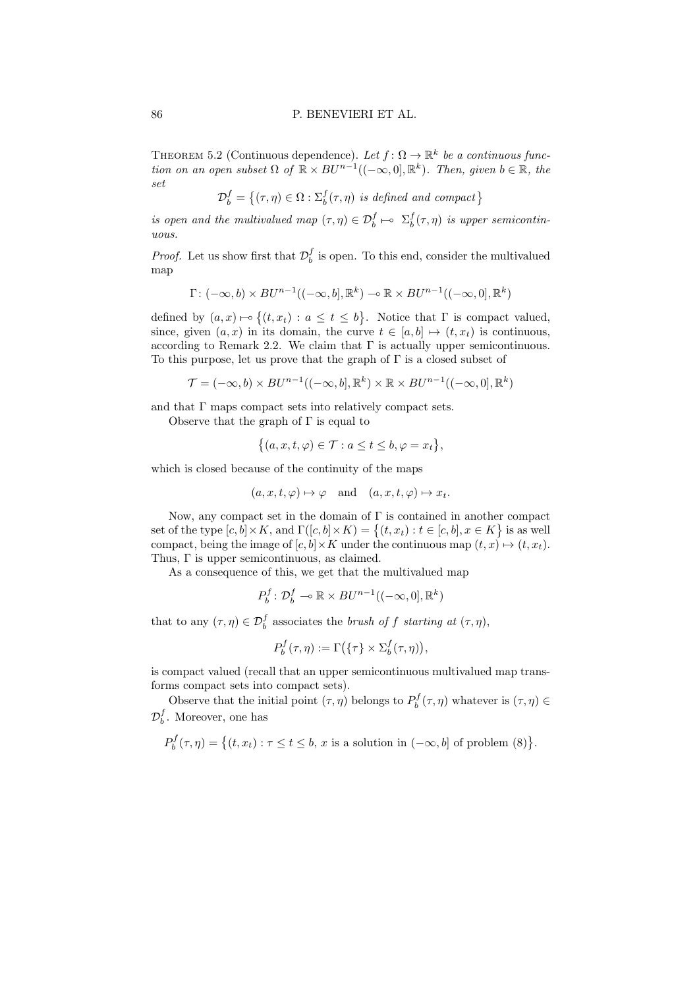THEOREM 5.2 (Continuous dependence). Let  $f: \Omega \to \mathbb{R}^k$  be a continuous function on an open subset  $\Omega$  of  $\mathbb{R} \times BV^{n-1}((-\infty,0], \mathbb{R}^k)$ . Then, given  $b \in \mathbb{R}$ , the set

 $\mathcal{D}_{b}^{f} = \{(\tau, \eta) \in \Omega : \Sigma_{b}^{f}(\tau, \eta) \text{ is defined and compact}\}\$ 

is open and the multivalued map  $(\tau, \eta) \in \mathcal{D}_{b}^{f} \mapsto \Sigma_{b}^{f}(\tau, \eta)$  is upper semicontinuous.

*Proof.* Let us show first that  $\mathcal{D}_b^f$  is open. To this end, consider the multivalued map

$$
\Gamma\colon (-\infty,b)\times BU^{n-1}((-\infty,b],\mathbb{R}^k)\to \mathbb{R}\times BU^{n-1}((-\infty,0],\mathbb{R}^k)
$$

defined by  $(a, x) \mapsto \{(t, x_t) : a \le t \le b\}$ . Notice that  $\Gamma$  is compact valued, since, given  $(a, x)$  in its domain, the curve  $t \in [a, b] \mapsto (t, x_t)$  is continuous, according to Remark 2.2. We claim that  $\Gamma$  is actually upper semicontinuous. To this purpose, let us prove that the graph of  $\Gamma$  is a closed subset of

$$
\mathcal{T} = (-\infty, b) \times BU^{n-1}((-\infty, b], \mathbb{R}^k) \times \mathbb{R} \times BU^{n-1}((-\infty, 0], \mathbb{R}^k)
$$

and that  $\Gamma$  maps compact sets into relatively compact sets.

Observe that the graph of  $\Gamma$  is equal to

$$
\{(a, x, t, \varphi) \in \mathcal{T} : a \leq t \leq b, \varphi = x_t\},\
$$

which is closed because of the continuity of the maps

$$
(a, x, t, \varphi) \mapsto \varphi
$$
 and  $(a, x, t, \varphi) \mapsto x_t$ .

Now, any compact set in the domain of  $\Gamma$  is contained in another compact set of the type  $[c, b] \times K$ , and  $\Gamma([c, b] \times K) = \{(t, x_t) : t \in [c, b], x \in K\}$  is as well compact, being the image of  $[c, b] \times K$  under the continuous map  $(t, x) \mapsto (t, x_t)$ . Thus, Γ is upper semicontinuous, as claimed.

As a consequence of this, we get that the multivalued map

$$
P_b^f: \mathcal{D}_b^f \multimap \mathbb{R} \times BU^{n-1}((-\infty, 0], \mathbb{R}^k)
$$

that to any  $(\tau, \eta) \in \mathcal{D}_{b}^{f}$  associates the *brush of f starting at*  $(\tau, \eta)$ ,

$$
P_b^f(\tau,\eta) := \Gamma(\{\tau\} \times \Sigma_b^f(\tau,\eta)),
$$

is compact valued (recall that an upper semicontinuous multivalued map transforms compact sets into compact sets).

Observe that the initial point  $(\tau, \eta)$  belongs to  $P_b^f(\tau, \eta)$  whatever is  $(\tau, \eta) \in$  $\mathcal{D}_{b}^{f}$ . Moreover, one has

 $P_b^f(\tau, \eta) = \big\{ (t, x_t) : \tau \le t \le b, x \text{ is a solution in } (-\infty, b] \text{ of problem } (8) \big\}.$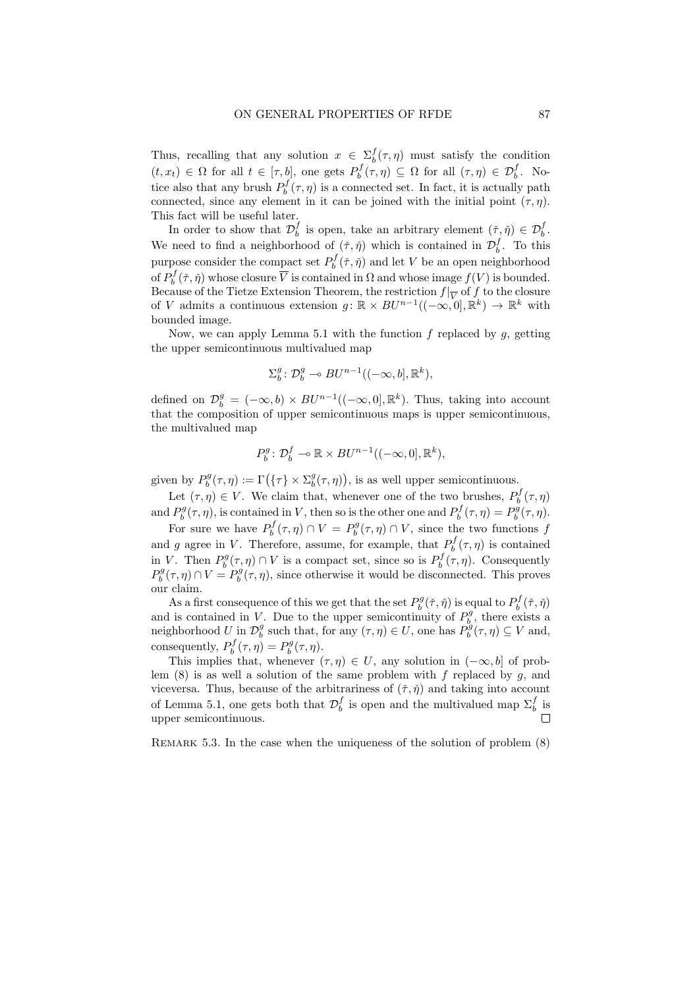Thus, recalling that any solution  $x \in \sum_{b}^{f}(\tau, \eta)$  must satisfy the condition  $(t, x_t) \in \Omega$  for all  $t \in [\tau, b]$ , one gets  $P_b^f(\tau, \eta) \subseteq \Omega$  for all  $(\tau, \eta) \in \mathcal{D}_b^f$ . Notice also that any brush  $P_b^f(\tau, \eta)$  is a connected set. In fact, it is actually path connected, since any element in it can be joined with the initial point  $(\tau, \eta)$ . This fact will be useful later.

In order to show that  $\mathcal{D}_b^f$  is open, take an arbitrary element  $(\check{\tau}, \check{\eta}) \in \mathcal{D}_b^f$ . We need to find a neighborhood of  $(\check{\tau}, \check{\eta})$  which is contained in  $\mathcal{D}_{b}^{f}$ . To this purpose consider the compact set  $P_b^f(\tilde{\tau}, \tilde{\eta})$  and let V be an open neighborhood of  $P_b^f(\check{\tau}, \check{\eta})$  whose closure  $\overline{V}$  is contained in  $\Omega$  and whose image  $f(V)$  is bounded. Because of the Tietze Extension Theorem, the restriction  $f|_{\overline{V}}$  of f to the closure of V admits a continuous extension  $g: \mathbb{R} \times BU^{n-1}((-\infty, 0], \mathbb{R}^k) \to \mathbb{R}^k$  with bounded image.

Now, we can apply Lemma 5.1 with the function  $f$  replaced by  $g$ , getting the upper semicontinuous multivalued map

$$
\Sigma^g_b\colon \mathcal{D}^g_b\multimap BU^{n-1}((-\infty,b],\mathbb{R}^k),
$$

defined on  $\mathcal{D}_{b}^{g} = (-\infty, b) \times BU^{n-1}((-\infty, 0], \mathbb{R}^{k})$ . Thus, taking into account that the composition of upper semicontinuous maps is upper semicontinuous, the multivalued map

$$
P_b^g: \mathcal{D}_b^f \multimap \mathbb{R} \times BU^{n-1}((-\infty, 0], \mathbb{R}^k),
$$

given by  $P_b^g(\tau, \eta) := \Gamma(\{\tau\} \times \Sigma_b^g(\tau, \eta)),$  is as well upper semicontinuous.

Let  $(\tau, \eta) \in V$ . We claim that, whenever one of the two brushes,  $P_b^f(\tau, \eta)$ and  $P_b^g(\tau, \eta)$ , is contained in V, then so is the other one and  $P_b^f(\tau, \eta) = P_b^g(\tau, \eta)$ .

For sure we have  $P_b^f(\tau, \eta) \cap V = P_b^g(\tau, \eta) \cap V$ , since the two functions f and g agree in V. Therefore, assume, for example, that  $P_b^f(\tau, \eta)$  is contained in V. Then  $P_b^g(\tau, \eta) \cap V$  is a compact set, since so is  $P_b^f(\tau, \eta)$ . Consequently  $P_b^g(\tau, \eta) \cap V = P_b^g(\tau, \eta)$ , since otherwise it would be disconnected. This proves our claim.

As a first consequence of this we get that the set  $P_b^g(\check{\tau},\check{\eta})$  is equal to  $P_b^f(\check{\tau},\check{\eta})$ and is contained in V. Due to the upper semicontinuity of  $P_b^g$ , there exists a neighborhood U in  $\mathcal{D}_b^g$  such that, for any  $(\tau, \eta) \in U$ , one has  $P_b^g(\tau, \eta) \subseteq V$  and, consequently,  $P_b^f(\tau, \eta) = P_b^g(\tau, \eta)$ .

This implies that, whenever  $(\tau, \eta) \in U$ , any solution in  $(-\infty, b]$  of problem  $(8)$  is as well a solution of the same problem with f replaced by q, and viceversa. Thus, because of the arbitrariness of  $(\check{\tau}, \check{\eta})$  and taking into account of Lemma 5.1, one gets both that  $\mathcal{D}_b^f$  is open and the multivalued map  $\Sigma_b^f$  is  $\Box$ upper semicontinuous.

REMARK 5.3. In the case when the uniqueness of the solution of problem  $(8)$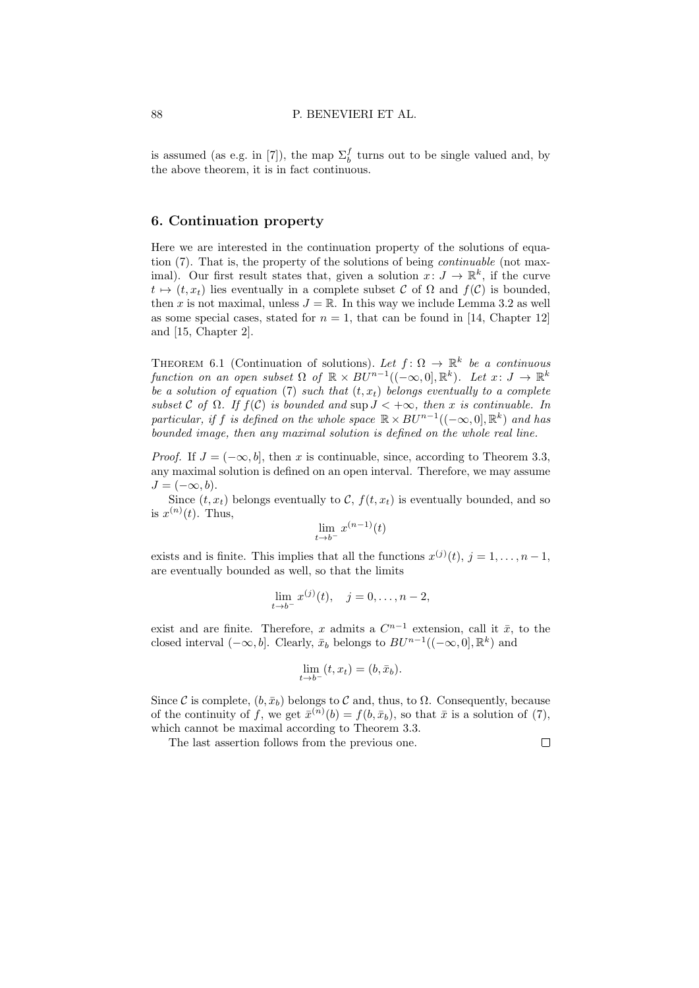is assumed (as e.g. in [7]), the map  $\Sigma_b^f$  turns out to be single valued and, by the above theorem, it is in fact continuous.

# 6. Continuation property

Here we are interested in the continuation property of the solutions of equation (7). That is, the property of the solutions of being continuable (not maximal). Our first result states that, given a solution  $x: J \to \mathbb{R}^k$ , if the curve  $t \mapsto (t, x_t)$  lies eventually in a complete subset C of  $\Omega$  and  $f(\mathcal{C})$  is bounded, then x is not maximal, unless  $J = \mathbb{R}$ . In this way we include Lemma 3.2 as well as some special cases, stated for  $n = 1$ , that can be found in [14, Chapter 12] and [15, Chapter 2].

THEOREM 6.1 (Continuation of solutions). Let  $f: \Omega \to \mathbb{R}^k$  be a continuous function on an open subset  $\Omega$  of  $\mathbb{R} \times BV^{n-1}((-\infty,0], \mathbb{R}^k)$ . Let  $x: J \to \mathbb{R}^k$ be a solution of equation (7) such that  $(t, x_t)$  belongs eventually to a complete subset C of  $\Omega$ . If  $f(\mathcal{C})$  is bounded and sup  $J < +\infty$ , then x is continuable. In particular, if f is defined on the whole space  $\mathbb{R} \times BU^{n-1}((-\infty,0], \mathbb{R}^k)$  and has bounded image, then any maximal solution is defined on the whole real line.

*Proof.* If  $J = (-\infty, b]$ , then x is continuable, since, according to Theorem 3.3, any maximal solution is defined on an open interval. Therefore, we may assume  $J = (-\infty, b).$ 

Since  $(t, x_t)$  belongs eventually to C,  $f(t, x_t)$  is eventually bounded, and so is  $x^{(n)}(t)$ . Thus,

$$
\lim_{t \to b^-} x^{(n-1)}(t)
$$

exists and is finite. This implies that all the functions  $x^{(j)}(t)$ ,  $j = 1, \ldots, n-1$ , are eventually bounded as well, so that the limits

$$
\lim_{t \to b^{-}} x^{(j)}(t), \quad j = 0, \dots, n-2,
$$

exist and are finite. Therefore, x admits a  $C^{n-1}$  extension, call it  $\bar{x}$ , to the closed interval  $(-\infty, b]$ . Clearly,  $\bar{x}_b$  belongs to  $BU^{n-1}((-\infty, 0], \mathbb{R}^k)$  and

$$
\lim_{t \to b^-} (t, x_t) = (b, \bar{x}_b).
$$

Since C is complete,  $(b, \bar{x}_b)$  belongs to C and, thus, to  $\Omega$ . Consequently, because of the continuity of f, we get  $\bar{x}^{(n)}(b) = f(b, \bar{x}_b)$ , so that  $\bar{x}$  is a solution of (7), which cannot be maximal according to Theorem 3.3.

The last assertion follows from the previous one.

 $\Box$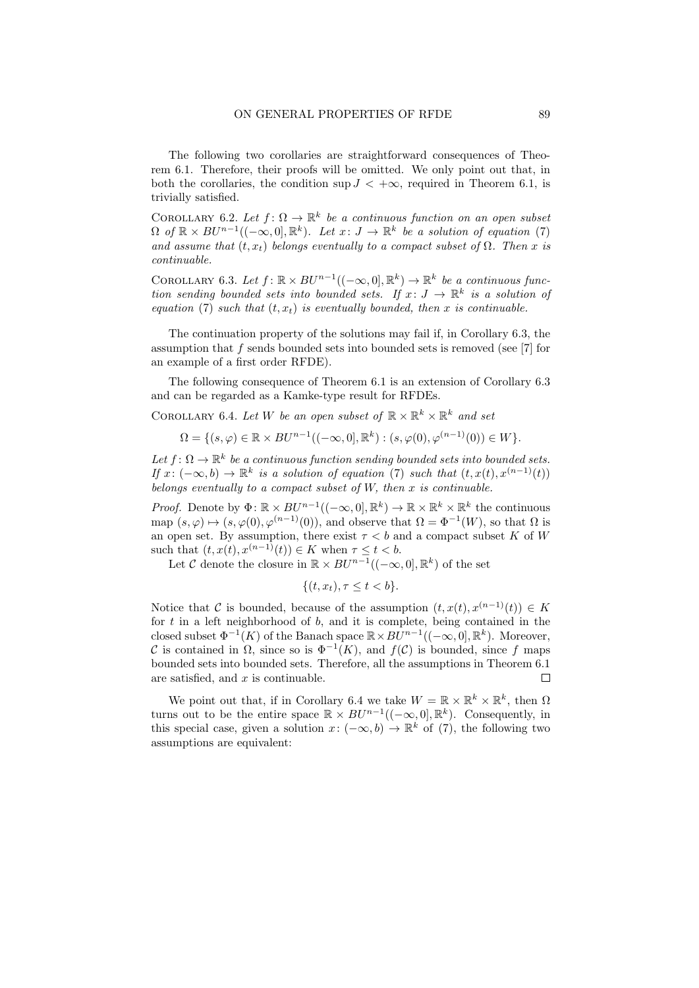The following two corollaries are straightforward consequences of Theorem 6.1. Therefore, their proofs will be omitted. We only point out that, in both the corollaries, the condition sup  $J < +\infty$ , required in Theorem 6.1, is trivially satisfied.

COROLLARY 6.2. Let  $f: \Omega \to \mathbb{R}^k$  be a continuous function on an open subset  $\Omega$  of  $\mathbb{R} \times BU^{n-1}((-\infty,0], \mathbb{R}^k)$ . Let  $x: J \to \mathbb{R}^k$  be a solution of equation (7) and assume that  $(t, x_t)$  belongs eventually to a compact subset of  $\Omega$ . Then x is continuable.

COROLLARY 6.3. Let  $f: \mathbb{R} \times BU^{n-1}((-\infty,0], \mathbb{R}^k) \to \mathbb{R}^k$  be a continuous function sending bounded sets into bounded sets. If  $x: J \to \mathbb{R}^k$  is a solution of equation (7) such that  $(t, x_t)$  is eventually bounded, then x is continuable.

The continuation property of the solutions may fail if, in Corollary 6.3, the assumption that f sends bounded sets into bounded sets is removed (see [7] for an example of a first order RFDE).

The following consequence of Theorem 6.1 is an extension of Corollary 6.3 and can be regarded as a Kamke-type result for RFDEs.

COROLLARY 6.4. Let W be an open subset of  $\mathbb{R} \times \mathbb{R}^k \times \mathbb{R}^k$  and set

$$
\Omega = \{ (s, \varphi) \in \mathbb{R} \times BU^{n-1}((-\infty, 0], \mathbb{R}^k) : (s, \varphi(0), \varphi^{(n-1)}(0)) \in W \}.
$$

Let  $f: \Omega \to \mathbb{R}^k$  be a continuous function sending bounded sets into bounded sets. If  $x: (-\infty, b) \to \mathbb{R}^k$  is a solution of equation (7) such that  $(t, x(t), x^{(n-1)}(t))$ belongs eventually to a compact subset of  $W$ , then  $x$  is continuable.

*Proof.* Denote by  $\Phi: \mathbb{R} \times BU^{n-1}((-\infty,0], \mathbb{R}^k) \to \mathbb{R} \times \mathbb{R}^k \times \mathbb{R}^k$  the continuous map  $(s, \varphi) \mapsto (s, \varphi(0), \varphi^{(n-1)}(0))$ , and observe that  $\Omega = \Phi^{-1}(W)$ , so that  $\Omega$  is an open set. By assumption, there exist  $\tau < b$  and a compact subset K of W such that  $(t, x(t), x^{(n-1)}(t)) \in K$  when  $\tau \leq t < b$ .

Let C denote the closure in  $\mathbb{R} \times BU^{n-1}((-\infty,0], \mathbb{R}^k)$  of the set

$$
\{(t, x_t), \tau \le t < b\}.
$$

Notice that C is bounded, because of the assumption  $(t, x(t), x^{(n-1)}(t)) \in K$ for  $t$  in a left neighborhood of  $b$ , and it is complete, being contained in the closed subset  $\Phi^{-1}(K)$  of the Banach space  $\mathbb{R} \times BU^{n-1}((-\infty, 0], \mathbb{R}^k)$ . Moreover, C is contained in  $\Omega$ , since so is  $\Phi^{-1}(K)$ , and  $f(\mathcal{C})$  is bounded, since f maps bounded sets into bounded sets. Therefore, all the assumptions in Theorem 6.1 are satisfied, and  $x$  is continuable.  $\Box$ 

We point out that, if in Corollary 6.4 we take  $W = \mathbb{R} \times \mathbb{R}^k \times \mathbb{R}^k$ , then  $\Omega$ turns out to be the entire space  $\mathbb{R} \times BU^{n-1}((-\infty,0],\mathbb{R}^k)$ . Consequently, in this special case, given a solution  $x: (-\infty, b) \to \mathbb{R}^k$  of (7), the following two assumptions are equivalent: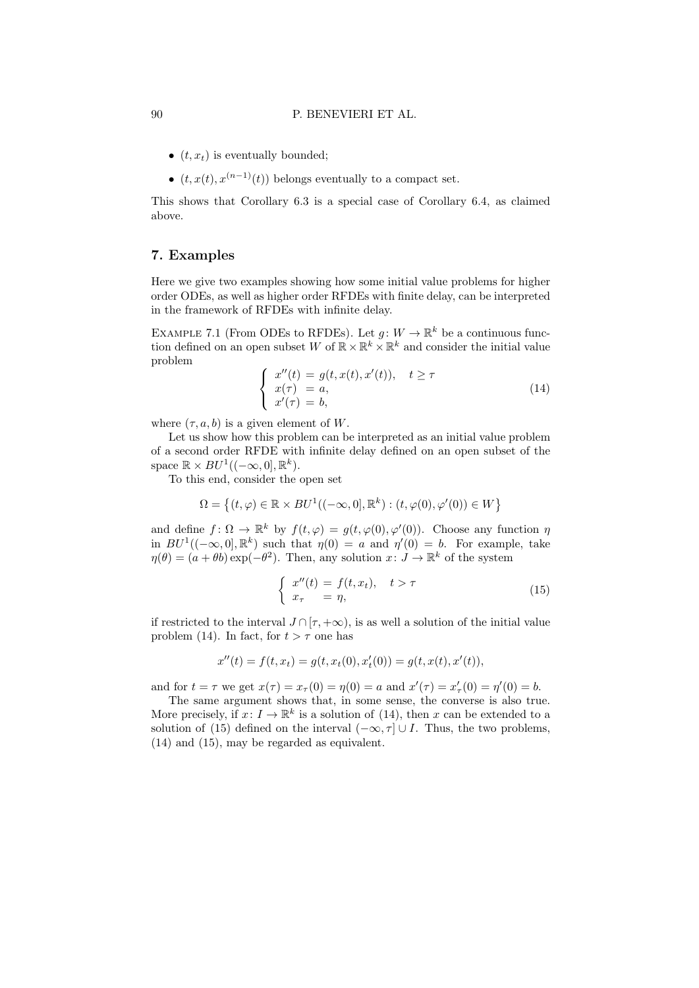- $(t, x_t)$  is eventually bounded;
- $(t, x(t), x^{(n-1)}(t))$  belongs eventually to a compact set.

This shows that Corollary 6.3 is a special case of Corollary 6.4, as claimed above.

# 7. Examples

Here we give two examples showing how some initial value problems for higher order ODEs, as well as higher order RFDEs with finite delay, can be interpreted in the framework of RFDEs with infinite delay.

EXAMPLE 7.1 (From ODEs to RFDEs). Let  $g: W \to \mathbb{R}^k$  be a continuous function defined on an open subset W of  $\mathbb{R} \times \mathbb{R}^k \times \mathbb{R}^k$  and consider the initial value problem

$$
\begin{cases}\nx''(t) = g(t, x(t), x'(t)), \quad t \ge \tau \\
x(\tau) = a, \\
x'(\tau) = b,\n\end{cases}
$$
\n(14)

where  $(\tau, a, b)$  is a given element of W.

Let us show how this problem can be interpreted as an initial value problem of a second order RFDE with infinite delay defined on an open subset of the space  $\mathbb{R} \times BU^1((-\infty,0], \mathbb{R}^k)$ .

To this end, consider the open set

$$
\Omega = \left\{ (t, \varphi) \in \mathbb{R} \times BU^1((-\infty, 0], \mathbb{R}^k) : (t, \varphi(0), \varphi'(0)) \in W \right\}
$$

and define  $f: \Omega \to \mathbb{R}^k$  by  $f(t, \varphi) = g(t, \varphi(0), \varphi'(0))$ . Choose any function  $\eta$ in  $BU^1((-\infty,0], \mathbb{R}^k)$  such that  $\eta(0) = a$  and  $\eta'(0) = b$ . For example, take  $\eta(\theta) = (a + \theta b) \exp(-\theta^2)$ . Then, any solution  $x: J \to \mathbb{R}^k$  of the system

$$
\begin{cases}\nx''(t) = f(t, x_t), & t > \tau \\
x_\tau = \eta,\n\end{cases}
$$
\n(15)

if restricted to the interval  $J \cap [\tau, +\infty)$ , is as well a solution of the initial value problem (14). In fact, for  $t > \tau$  one has

$$
x''(t) = f(t, x_t) = g(t, x_t(0), x'_t(0)) = g(t, x(t), x'(t)),
$$

and for  $t = \tau$  we get  $x(\tau) = x_{\tau}(0) = \eta(0) = a$  and  $x'(\tau) = x'_{\tau}(0) = \eta'(0) = b$ .

The same argument shows that, in some sense, the converse is also true. More precisely, if  $x: I \to \mathbb{R}^k$  is a solution of (14), then x can be extended to a solution of (15) defined on the interval  $(-\infty, \tau] \cup I$ . Thus, the two problems, (14) and (15), may be regarded as equivalent.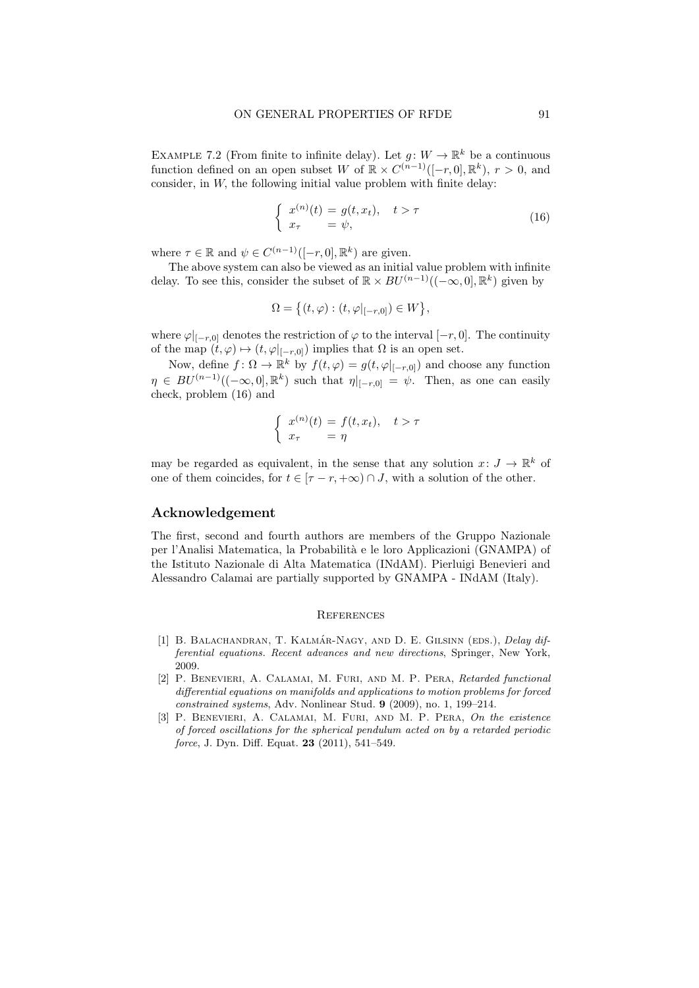EXAMPLE 7.2 (From finite to infinite delay). Let  $g: W \to \mathbb{R}^k$  be a continuous function defined on an open subset W of  $\mathbb{R} \times C^{(n-1)}([-r, 0], \mathbb{R}^k)$ ,  $r > 0$ , and consider, in  $W$ , the following initial value problem with finite delay:

$$
\begin{cases}\nx^{(n)}(t) = g(t, x_t), & t > \tau \\
x_\tau = \psi,\n\end{cases}
$$
\n(16)

where  $\tau \in \mathbb{R}$  and  $\psi \in C^{(n-1)}([-r, 0], \mathbb{R}^k)$  are given.

The above system can also be viewed as an initial value problem with infinite delay. To see this, consider the subset of  $\mathbb{R} \times BU^{(n-1)}((-\infty,0], \mathbb{R}^k)$  given by

$$
\Omega = \left\{ (t, \varphi) : (t, \varphi|_{[-r, 0]}) \in W \right\},\
$$

where  $\varphi|_{[-r,0]}$  denotes the restriction of  $\varphi$  to the interval  $[-r,0]$ . The continuity of the map  $(t, \varphi) \mapsto (t, \varphi|_{[-r,0]})$  implies that  $\Omega$  is an open set.

Now, define  $f: \Omega \to \mathbb{R}^k$  by  $f(t, \varphi) = g(t, \varphi|_{[-r,0]})$  and choose any function  $\eta \in BU^{(n-1)}((-\infty,0], \mathbb{R}^k)$  such that  $\eta|_{[-r,0]} = \psi$ . Then, as one can easily check, problem (16) and

$$
\begin{cases}\nx^{(n)}(t) = f(t, x_t), & t > \tau \\
x_\tau = \eta\n\end{cases}
$$

may be regarded as equivalent, in the sense that any solution  $x: J \to \mathbb{R}^k$  of one of them coincides, for  $t \in [\tau - r, +\infty) \cap J$ , with a solution of the other.

#### Acknowledgement

The first, second and fourth authors are members of the Gruppo Nazionale per l'Analisi Matematica, la Probabilit`a e le loro Applicazioni (GNAMPA) of the Istituto Nazionale di Alta Matematica (INdAM). Pierluigi Benevieri and Alessandro Calamai are partially supported by GNAMPA - INdAM (Italy).

#### **REFERENCES**

- [1] B. BALACHANDRAN, T. KALMÁR-NAGY, AND D. E. GILSINN (EDS.), Delay differential equations. Recent advances and new directions, Springer, New York, 2009.
- [2] P. Benevieri, A. Calamai, M. Furi, and M. P. Pera, Retarded functional differential equations on manifolds and applications to motion problems for forced constrained systems, Adv. Nonlinear Stud. 9 (2009), no. 1, 199–214.
- [3] P. Benevieri, A. Calamai, M. Furi, and M. P. Pera, On the existence of forced oscillations for the spherical pendulum acted on by a retarded periodic force, J. Dyn. Diff. Equat. 23 (2011), 541–549.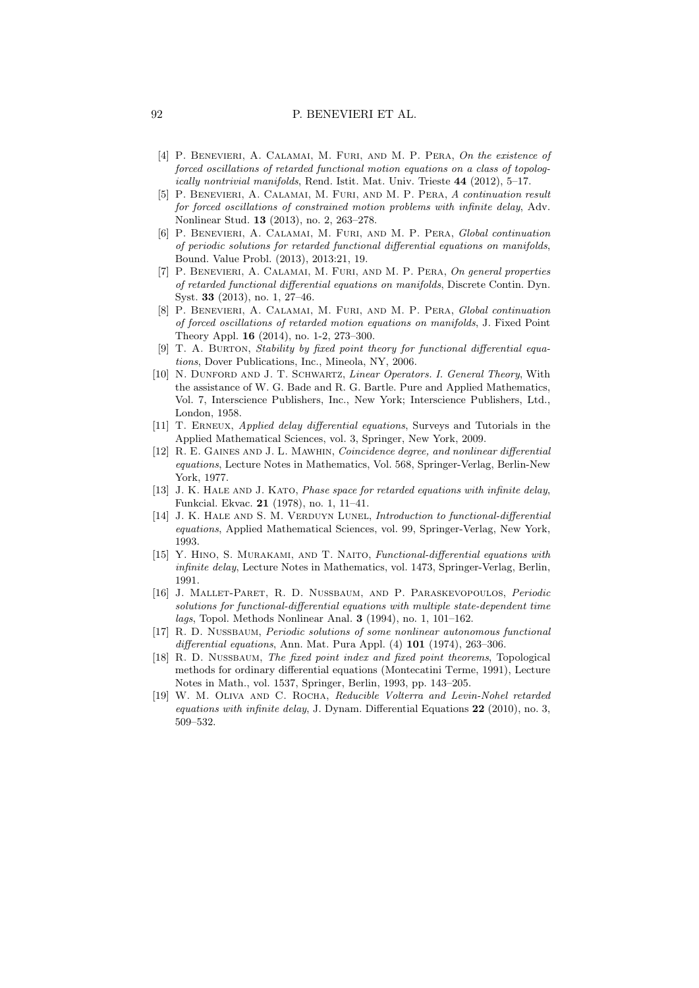- [4] P. BENEVIERI, A. CALAMAI, M. FURI, AND M. P. PERA, On the existence of forced oscillations of retarded functional motion equations on a class of topologically nontrivial manifolds, Rend. Istit. Mat. Univ. Trieste 44 (2012), 5–17.
- [5] P. Benevieri, A. Calamai, M. Furi, and M. P. Pera, A continuation result for forced oscillations of constrained motion problems with infinite delay, Adv. Nonlinear Stud. 13 (2013), no. 2, 263–278.
- [6] P. Benevieri, A. Calamai, M. Furi, and M. P. Pera, Global continuation of periodic solutions for retarded functional differential equations on manifolds, Bound. Value Probl. (2013), 2013:21, 19.
- [7] P. Benevieri, A. Calamai, M. Furi, and M. P. Pera, On general properties of retarded functional differential equations on manifolds, Discrete Contin. Dyn. Syst. 33 (2013), no. 1, 27–46.
- [8] P. Benevieri, A. Calamai, M. Furi, and M. P. Pera, Global continuation of forced oscillations of retarded motion equations on manifolds, J. Fixed Point Theory Appl. 16 (2014), no. 1-2, 273–300.
- [9] T. A. Burton, Stability by fixed point theory for functional differential equations, Dover Publications, Inc., Mineola, NY, 2006.
- [10] N. Dunford and J. T. Schwartz, Linear Operators. I. General Theory, With the assistance of W. G. Bade and R. G. Bartle. Pure and Applied Mathematics, Vol. 7, Interscience Publishers, Inc., New York; Interscience Publishers, Ltd., London, 1958.
- [11] T. Erneux, Applied delay differential equations, Surveys and Tutorials in the Applied Mathematical Sciences, vol. 3, Springer, New York, 2009.
- [12] R. E. Gaines and J. L. Mawhin, Coincidence degree, and nonlinear differential equations, Lecture Notes in Mathematics, Vol. 568, Springer-Verlag, Berlin-New York, 1977.
- [13] J. K. HALE AND J. KATO, *Phase space for retarded equations with infinite delay*, Funkcial. Ekvac. 21 (1978), no. 1, 11–41.
- [14] J. K. HALE AND S. M. VERDUYN LUNEL, *Introduction to functional-differential* equations, Applied Mathematical Sciences, vol. 99, Springer-Verlag, New York, 1993.
- [15] Y. Hino, S. Murakami, and T. Naito, Functional-differential equations with infinite delay, Lecture Notes in Mathematics, vol. 1473, Springer-Verlag, Berlin, 1991.
- [16] J. Mallet-Paret, R. D. Nussbaum, and P. Paraskevopoulos, Periodic solutions for functional-differential equations with multiple state-dependent time lags, Topol. Methods Nonlinear Anal. 3 (1994), no. 1, 101–162.
- [17] R. D. Nussbaum, Periodic solutions of some nonlinear autonomous functional differential equations, Ann. Mat. Pura Appl. (4) 101 (1974), 263-306.
- [18] R. D. NUSSBAUM, The fixed point index and fixed point theorems, Topological methods for ordinary differential equations (Montecatini Terme, 1991), Lecture Notes in Math., vol. 1537, Springer, Berlin, 1993, pp. 143–205.
- [19] W. M. OLIVA AND C. ROCHA, Reducible Volterra and Levin-Nohel retarded equations with infinite delay, J. Dynam. Differential Equations 22 (2010), no. 3, 509–532.